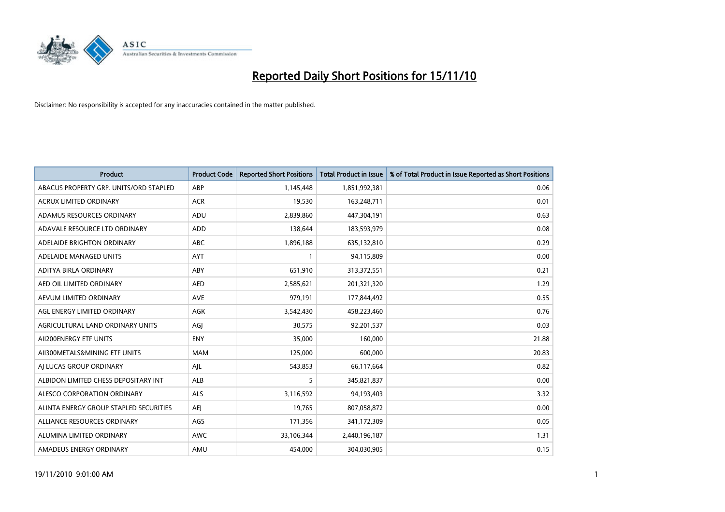

| Product                                | <b>Product Code</b> | <b>Reported Short Positions</b> | <b>Total Product in Issue</b> | % of Total Product in Issue Reported as Short Positions |
|----------------------------------------|---------------------|---------------------------------|-------------------------------|---------------------------------------------------------|
| ABACUS PROPERTY GRP. UNITS/ORD STAPLED | ABP                 | 1,145,448                       | 1,851,992,381                 | 0.06                                                    |
| ACRUX LIMITED ORDINARY                 | <b>ACR</b>          | 19,530                          | 163,248,711                   | 0.01                                                    |
| ADAMUS RESOURCES ORDINARY              | ADU                 | 2,839,860                       | 447,304,191                   | 0.63                                                    |
| ADAVALE RESOURCE LTD ORDINARY          | <b>ADD</b>          | 138,644                         | 183,593,979                   | 0.08                                                    |
| ADELAIDE BRIGHTON ORDINARY             | ABC                 | 1,896,188                       | 635,132,810                   | 0.29                                                    |
| ADELAIDE MANAGED UNITS                 | AYT                 |                                 | 94,115,809                    | 0.00                                                    |
| ADITYA BIRLA ORDINARY                  | ABY                 | 651,910                         | 313,372,551                   | 0.21                                                    |
| AED OIL LIMITED ORDINARY               | <b>AED</b>          | 2,585,621                       | 201,321,320                   | 1.29                                                    |
| AEVUM LIMITED ORDINARY                 | <b>AVE</b>          | 979,191                         | 177,844,492                   | 0.55                                                    |
| AGL ENERGY LIMITED ORDINARY            | <b>AGK</b>          | 3,542,430                       | 458,223,460                   | 0.76                                                    |
| AGRICULTURAL LAND ORDINARY UNITS       | AGJ                 | 30,575                          | 92,201,537                    | 0.03                                                    |
| AII200ENERGY ETF UNITS                 | <b>ENY</b>          | 35,000                          | 160,000                       | 21.88                                                   |
| AII300METALS&MINING ETF UNITS          | <b>MAM</b>          | 125,000                         | 600,000                       | 20.83                                                   |
| AI LUCAS GROUP ORDINARY                | AJL                 | 543,853                         | 66,117,664                    | 0.82                                                    |
| ALBIDON LIMITED CHESS DEPOSITARY INT   | ALB                 | 5                               | 345,821,837                   | 0.00                                                    |
| ALESCO CORPORATION ORDINARY            | <b>ALS</b>          | 3,116,592                       | 94,193,403                    | 3.32                                                    |
| ALINTA ENERGY GROUP STAPLED SECURITIES | <b>AEJ</b>          | 19,765                          | 807,058,872                   | 0.00                                                    |
| ALLIANCE RESOURCES ORDINARY            | AGS                 | 171,356                         | 341,172,309                   | 0.05                                                    |
| ALUMINA LIMITED ORDINARY               | AWC                 | 33,106,344                      | 2,440,196,187                 | 1.31                                                    |
| AMADEUS ENERGY ORDINARY                | AMU                 | 454,000                         | 304,030,905                   | 0.15                                                    |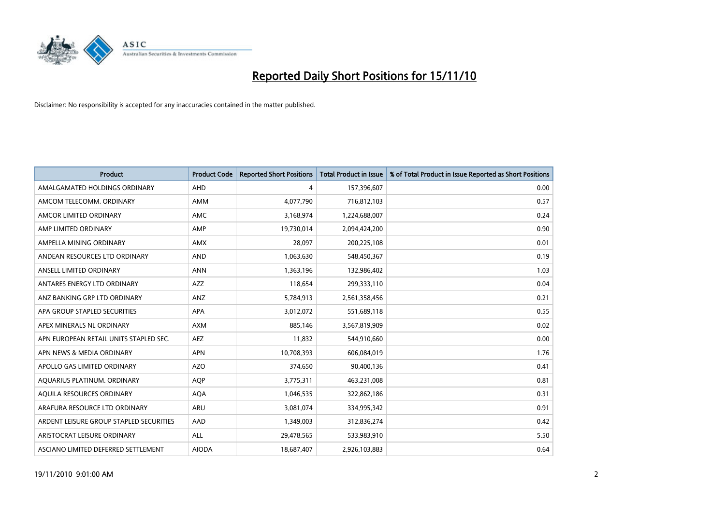

| <b>Product</b>                          | <b>Product Code</b> | <b>Reported Short Positions</b> | <b>Total Product in Issue</b> | % of Total Product in Issue Reported as Short Positions |
|-----------------------------------------|---------------------|---------------------------------|-------------------------------|---------------------------------------------------------|
| AMALGAMATED HOLDINGS ORDINARY           | AHD                 | 4                               | 157,396,607                   | 0.00                                                    |
| AMCOM TELECOMM, ORDINARY                | <b>AMM</b>          | 4,077,790                       | 716,812,103                   | 0.57                                                    |
| AMCOR LIMITED ORDINARY                  | <b>AMC</b>          | 3,168,974                       | 1,224,688,007                 | 0.24                                                    |
| AMP LIMITED ORDINARY                    | AMP                 | 19,730,014                      | 2,094,424,200                 | 0.90                                                    |
| AMPELLA MINING ORDINARY                 | <b>AMX</b>          | 28,097                          | 200,225,108                   | 0.01                                                    |
| ANDEAN RESOURCES LTD ORDINARY           | <b>AND</b>          | 1,063,630                       | 548,450,367                   | 0.19                                                    |
| ANSELL LIMITED ORDINARY                 | <b>ANN</b>          | 1,363,196                       | 132,986,402                   | 1.03                                                    |
| ANTARES ENERGY LTD ORDINARY             | AZZ                 | 118,654                         | 299,333,110                   | 0.04                                                    |
| ANZ BANKING GRP LTD ORDINARY            | ANZ                 | 5,784,913                       | 2,561,358,456                 | 0.21                                                    |
| APA GROUP STAPLED SECURITIES            | <b>APA</b>          | 3,012,072                       | 551,689,118                   | 0.55                                                    |
| APEX MINERALS NL ORDINARY               | <b>AXM</b>          | 885,146                         | 3,567,819,909                 | 0.02                                                    |
| APN EUROPEAN RETAIL UNITS STAPLED SEC.  | <b>AEZ</b>          | 11,832                          | 544,910,660                   | 0.00                                                    |
| APN NEWS & MEDIA ORDINARY               | <b>APN</b>          | 10,708,393                      | 606,084,019                   | 1.76                                                    |
| APOLLO GAS LIMITED ORDINARY             | <b>AZO</b>          | 374,650                         | 90,400,136                    | 0.41                                                    |
| AQUARIUS PLATINUM. ORDINARY             | <b>AOP</b>          | 3,775,311                       | 463,231,008                   | 0.81                                                    |
| AQUILA RESOURCES ORDINARY               | <b>AQA</b>          | 1,046,535                       | 322,862,186                   | 0.31                                                    |
| ARAFURA RESOURCE LTD ORDINARY           | <b>ARU</b>          | 3,081,074                       | 334,995,342                   | 0.91                                                    |
| ARDENT LEISURE GROUP STAPLED SECURITIES | AAD                 | 1,349,003                       | 312,836,274                   | 0.42                                                    |
| ARISTOCRAT LEISURE ORDINARY             | ALL                 | 29,478,565                      | 533,983,910                   | 5.50                                                    |
| ASCIANO LIMITED DEFERRED SETTLEMENT     | <b>AIODA</b>        | 18,687,407                      | 2,926,103,883                 | 0.64                                                    |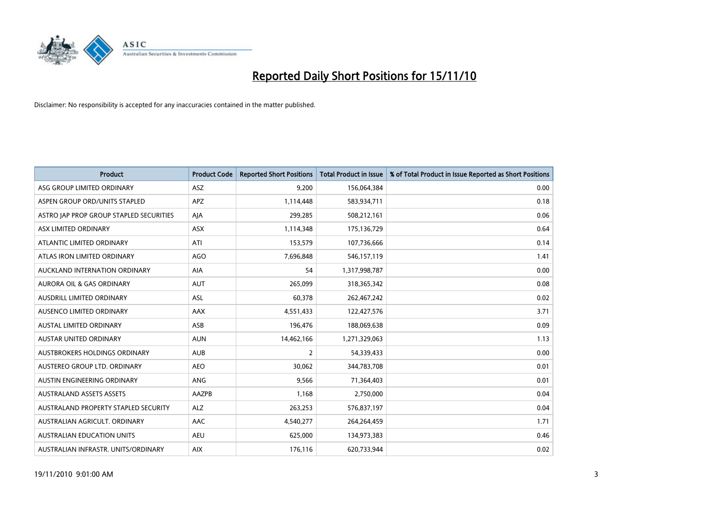

| <b>Product</b>                          | <b>Product Code</b> | <b>Reported Short Positions</b> | Total Product in Issue | % of Total Product in Issue Reported as Short Positions |
|-----------------------------------------|---------------------|---------------------------------|------------------------|---------------------------------------------------------|
| ASG GROUP LIMITED ORDINARY              | ASZ                 | 9,200                           | 156,064,384            | 0.00                                                    |
| ASPEN GROUP ORD/UNITS STAPLED           | <b>APZ</b>          | 1,114,448                       | 583,934,711            | 0.18                                                    |
| ASTRO JAP PROP GROUP STAPLED SECURITIES | AJA                 | 299,285                         | 508,212,161            | 0.06                                                    |
| ASX LIMITED ORDINARY                    | ASX                 | 1,114,348                       | 175,136,729            | 0.64                                                    |
| ATLANTIC LIMITED ORDINARY               | ATI                 | 153,579                         | 107,736,666            | 0.14                                                    |
| ATLAS IRON LIMITED ORDINARY             | <b>AGO</b>          | 7,696,848                       | 546,157,119            | 1.41                                                    |
| AUCKLAND INTERNATION ORDINARY           | <b>AIA</b>          | 54                              | 1,317,998,787          | 0.00                                                    |
| <b>AURORA OIL &amp; GAS ORDINARY</b>    | <b>AUT</b>          | 265,099                         | 318,365,342            | 0.08                                                    |
| AUSDRILL LIMITED ORDINARY               | <b>ASL</b>          | 60,378                          | 262,467,242            | 0.02                                                    |
| AUSENCO LIMITED ORDINARY                | AAX                 | 4,551,433                       | 122,427,576            | 3.71                                                    |
| AUSTAL LIMITED ORDINARY                 | ASB                 | 196,476                         | 188,069,638            | 0.09                                                    |
| AUSTAR UNITED ORDINARY                  | <b>AUN</b>          | 14,462,166                      | 1,271,329,063          | 1.13                                                    |
| <b>AUSTBROKERS HOLDINGS ORDINARY</b>    | <b>AUB</b>          | $\overline{2}$                  | 54,339,433             | 0.00                                                    |
| AUSTEREO GROUP LTD. ORDINARY            | <b>AEO</b>          | 30,062                          | 344,783,708            | 0.01                                                    |
| AUSTIN ENGINEERING ORDINARY             | ANG                 | 9,566                           | 71,364,403             | 0.01                                                    |
| <b>AUSTRALAND ASSETS ASSETS</b>         | <b>AAZPB</b>        | 1,168                           | 2,750,000              | 0.04                                                    |
| AUSTRALAND PROPERTY STAPLED SECURITY    | <b>ALZ</b>          | 263,253                         | 576,837,197            | 0.04                                                    |
| AUSTRALIAN AGRICULT. ORDINARY           | AAC                 | 4,540,277                       | 264,264,459            | 1.71                                                    |
| <b>AUSTRALIAN EDUCATION UNITS</b>       | <b>AEU</b>          | 625,000                         | 134,973,383            | 0.46                                                    |
| AUSTRALIAN INFRASTR, UNITS/ORDINARY     | <b>AIX</b>          | 176,116                         | 620,733,944            | 0.02                                                    |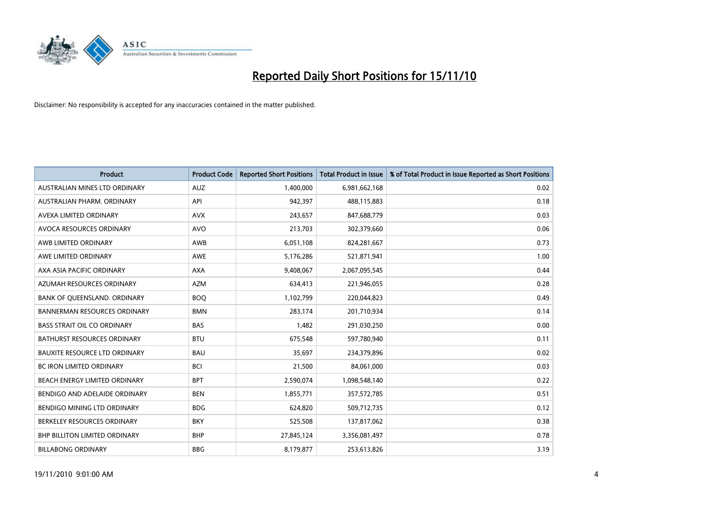

| <b>Product</b>                       | <b>Product Code</b> | <b>Reported Short Positions</b> | <b>Total Product in Issue</b> | % of Total Product in Issue Reported as Short Positions |
|--------------------------------------|---------------------|---------------------------------|-------------------------------|---------------------------------------------------------|
| AUSTRALIAN MINES LTD ORDINARY        | <b>AUZ</b>          | 1,400,000                       | 6,981,662,168                 | 0.02                                                    |
| AUSTRALIAN PHARM. ORDINARY           | API                 | 942,397                         | 488,115,883                   | 0.18                                                    |
| AVEXA LIMITED ORDINARY               | <b>AVX</b>          | 243,657                         | 847,688,779                   | 0.03                                                    |
| AVOCA RESOURCES ORDINARY             | <b>AVO</b>          | 213,703                         | 302,379,660                   | 0.06                                                    |
| AWB LIMITED ORDINARY                 | AWB                 | 6,051,108                       | 824,281,667                   | 0.73                                                    |
| AWE LIMITED ORDINARY                 | AWE                 | 5,176,286                       | 521,871,941                   | 1.00                                                    |
| AXA ASIA PACIFIC ORDINARY            | <b>AXA</b>          | 9,408,067                       | 2,067,095,545                 | 0.44                                                    |
| AZUMAH RESOURCES ORDINARY            | <b>AZM</b>          | 634,413                         | 221,946,055                   | 0.28                                                    |
| BANK OF QUEENSLAND. ORDINARY         | <b>BOQ</b>          | 1,102,799                       | 220,044,823                   | 0.49                                                    |
| <b>BANNERMAN RESOURCES ORDINARY</b>  | <b>BMN</b>          | 283,174                         | 201,710,934                   | 0.14                                                    |
| <b>BASS STRAIT OIL CO ORDINARY</b>   | <b>BAS</b>          | 1,482                           | 291,030,250                   | 0.00                                                    |
| <b>BATHURST RESOURCES ORDINARY</b>   | <b>BTU</b>          | 675,548                         | 597,780,940                   | 0.11                                                    |
| <b>BAUXITE RESOURCE LTD ORDINARY</b> | <b>BAU</b>          | 35,697                          | 234,379,896                   | 0.02                                                    |
| <b>BC IRON LIMITED ORDINARY</b>      | <b>BCI</b>          | 21,500                          | 84,061,000                    | 0.03                                                    |
| BEACH ENERGY LIMITED ORDINARY        | <b>BPT</b>          | 2,590,074                       | 1,098,548,140                 | 0.22                                                    |
| BENDIGO AND ADELAIDE ORDINARY        | <b>BEN</b>          | 1,855,771                       | 357,572,785                   | 0.51                                                    |
| BENDIGO MINING LTD ORDINARY          | <b>BDG</b>          | 624,820                         | 509,712,735                   | 0.12                                                    |
| BERKELEY RESOURCES ORDINARY          | <b>BKY</b>          | 525,508                         | 137,817,062                   | 0.38                                                    |
| <b>BHP BILLITON LIMITED ORDINARY</b> | <b>BHP</b>          | 27,845,124                      | 3,356,081,497                 | 0.78                                                    |
| <b>BILLABONG ORDINARY</b>            | <b>BBG</b>          | 8,179,877                       | 253,613,826                   | 3.19                                                    |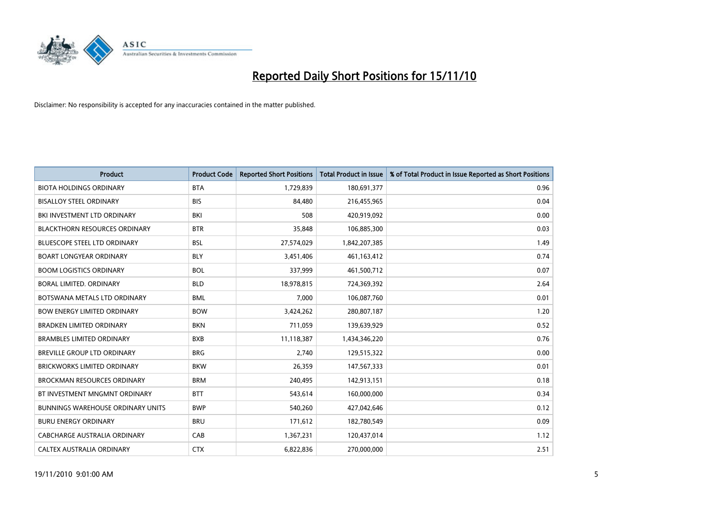

| Product                                  | <b>Product Code</b> | <b>Reported Short Positions</b> | <b>Total Product in Issue</b> | % of Total Product in Issue Reported as Short Positions |
|------------------------------------------|---------------------|---------------------------------|-------------------------------|---------------------------------------------------------|
| <b>BIOTA HOLDINGS ORDINARY</b>           | <b>BTA</b>          | 1,729,839                       | 180,691,377                   | 0.96                                                    |
| <b>BISALLOY STEEL ORDINARY</b>           | <b>BIS</b>          | 84,480                          | 216,455,965                   | 0.04                                                    |
| BKI INVESTMENT LTD ORDINARY              | BKI                 | 508                             | 420,919,092                   | 0.00                                                    |
| BLACKTHORN RESOURCES ORDINARY            | <b>BTR</b>          | 35,848                          | 106,885,300                   | 0.03                                                    |
| <b>BLUESCOPE STEEL LTD ORDINARY</b>      | <b>BSL</b>          | 27,574,029                      | 1,842,207,385                 | 1.49                                                    |
| <b>BOART LONGYEAR ORDINARY</b>           | <b>BLY</b>          | 3,451,406                       | 461,163,412                   | 0.74                                                    |
| <b>BOOM LOGISTICS ORDINARY</b>           | <b>BOL</b>          | 337,999                         | 461,500,712                   | 0.07                                                    |
| BORAL LIMITED, ORDINARY                  | <b>BLD</b>          | 18,978,815                      | 724,369,392                   | 2.64                                                    |
| BOTSWANA METALS LTD ORDINARY             | <b>BML</b>          | 7,000                           | 106,087,760                   | 0.01                                                    |
| <b>BOW ENERGY LIMITED ORDINARY</b>       | <b>BOW</b>          | 3,424,262                       | 280,807,187                   | 1.20                                                    |
| <b>BRADKEN LIMITED ORDINARY</b>          | <b>BKN</b>          | 711,059                         | 139,639,929                   | 0.52                                                    |
| <b>BRAMBLES LIMITED ORDINARY</b>         | <b>BXB</b>          | 11,118,387                      | 1,434,346,220                 | 0.76                                                    |
| BREVILLE GROUP LTD ORDINARY              | <b>BRG</b>          | 2,740                           | 129,515,322                   | 0.00                                                    |
| <b>BRICKWORKS LIMITED ORDINARY</b>       | <b>BKW</b>          | 26,359                          | 147,567,333                   | 0.01                                                    |
| <b>BROCKMAN RESOURCES ORDINARY</b>       | <b>BRM</b>          | 240,495                         | 142,913,151                   | 0.18                                                    |
| BT INVESTMENT MNGMNT ORDINARY            | <b>BTT</b>          | 543,614                         | 160,000,000                   | 0.34                                                    |
| <b>BUNNINGS WAREHOUSE ORDINARY UNITS</b> | <b>BWP</b>          | 540,260                         | 427,042,646                   | 0.12                                                    |
| <b>BURU ENERGY ORDINARY</b>              | <b>BRU</b>          | 171,612                         | 182,780,549                   | 0.09                                                    |
| <b>CABCHARGE AUSTRALIA ORDINARY</b>      | CAB                 | 1,367,231                       | 120,437,014                   | 1.12                                                    |
| CALTEX AUSTRALIA ORDINARY                | <b>CTX</b>          | 6,822,836                       | 270.000.000                   | 2.51                                                    |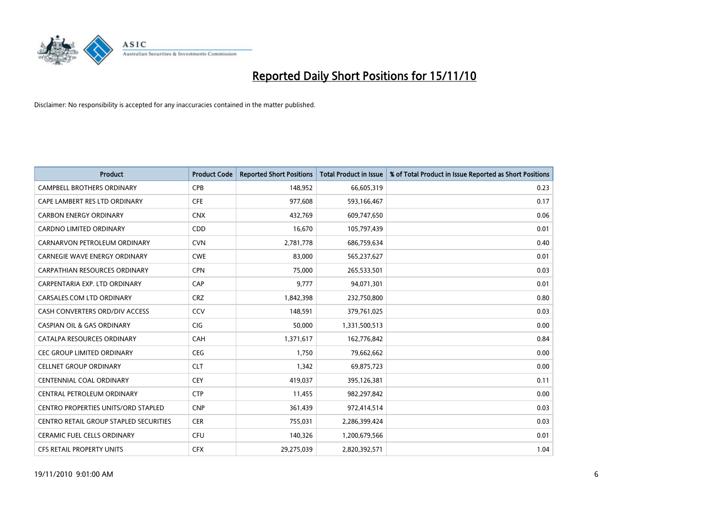

| <b>Product</b>                             | <b>Product Code</b> | <b>Reported Short Positions</b> | <b>Total Product in Issue</b> | % of Total Product in Issue Reported as Short Positions |
|--------------------------------------------|---------------------|---------------------------------|-------------------------------|---------------------------------------------------------|
| <b>CAMPBELL BROTHERS ORDINARY</b>          | CPB                 | 148,952                         | 66,605,319                    | 0.23                                                    |
| CAPE LAMBERT RES LTD ORDINARY              | <b>CFE</b>          | 977,608                         | 593,166,467                   | 0.17                                                    |
| <b>CARBON ENERGY ORDINARY</b>              | <b>CNX</b>          | 432,769                         | 609,747,650                   | 0.06                                                    |
| CARDNO LIMITED ORDINARY                    | CDD                 | 16,670                          | 105,797,439                   | 0.01                                                    |
| CARNARVON PETROLEUM ORDINARY               | <b>CVN</b>          | 2,781,778                       | 686,759,634                   | 0.40                                                    |
| <b>CARNEGIE WAVE ENERGY ORDINARY</b>       | <b>CWE</b>          | 83,000                          | 565,237,627                   | 0.01                                                    |
| <b>CARPATHIAN RESOURCES ORDINARY</b>       | <b>CPN</b>          | 75,000                          | 265,533,501                   | 0.03                                                    |
| CARPENTARIA EXP. LTD ORDINARY              | CAP                 | 9,777                           | 94,071,301                    | 0.01                                                    |
| CARSALES.COM LTD ORDINARY                  | <b>CRZ</b>          | 1,842,398                       | 232,750,800                   | 0.80                                                    |
| CASH CONVERTERS ORD/DIV ACCESS             | CCV                 | 148,591                         | 379,761,025                   | 0.03                                                    |
| <b>CASPIAN OIL &amp; GAS ORDINARY</b>      | <b>CIG</b>          | 50,000                          | 1,331,500,513                 | 0.00                                                    |
| CATALPA RESOURCES ORDINARY                 | CAH                 | 1,371,617                       | 162,776,842                   | 0.84                                                    |
| <b>CEC GROUP LIMITED ORDINARY</b>          | <b>CEG</b>          | 1,750                           | 79,662,662                    | 0.00                                                    |
| <b>CELLNET GROUP ORDINARY</b>              | <b>CLT</b>          | 1,342                           | 69,875,723                    | 0.00                                                    |
| <b>CENTENNIAL COAL ORDINARY</b>            | <b>CEY</b>          | 419,037                         | 395,126,381                   | 0.11                                                    |
| CENTRAL PETROLEUM ORDINARY                 | <b>CTP</b>          | 11,455                          | 982,297,842                   | 0.00                                                    |
| <b>CENTRO PROPERTIES UNITS/ORD STAPLED</b> | <b>CNP</b>          | 361,439                         | 972,414,514                   | 0.03                                                    |
| CENTRO RETAIL GROUP STAPLED SECURITIES     | <b>CER</b>          | 755,031                         | 2,286,399,424                 | 0.03                                                    |
| <b>CERAMIC FUEL CELLS ORDINARY</b>         | <b>CFU</b>          | 140,326                         | 1,200,679,566                 | 0.01                                                    |
| <b>CFS RETAIL PROPERTY UNITS</b>           | <b>CFX</b>          | 29,275,039                      | 2,820,392,571                 | 1.04                                                    |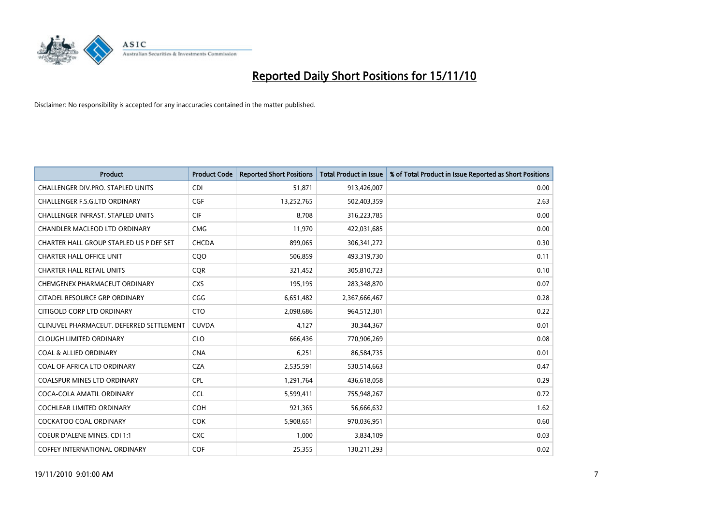

| <b>Product</b>                           | <b>Product Code</b> | <b>Reported Short Positions</b> | <b>Total Product in Issue</b> | % of Total Product in Issue Reported as Short Positions |
|------------------------------------------|---------------------|---------------------------------|-------------------------------|---------------------------------------------------------|
| CHALLENGER DIV.PRO. STAPLED UNITS        | <b>CDI</b>          | 51,871                          | 913,426,007                   | 0.00                                                    |
| CHALLENGER F.S.G.LTD ORDINARY            | <b>CGF</b>          | 13,252,765                      | 502,403,359                   | 2.63                                                    |
| <b>CHALLENGER INFRAST. STAPLED UNITS</b> | <b>CIF</b>          | 8,708                           | 316,223,785                   | 0.00                                                    |
| <b>CHANDLER MACLEOD LTD ORDINARY</b>     | <b>CMG</b>          | 11,970                          | 422,031,685                   | 0.00                                                    |
| CHARTER HALL GROUP STAPLED US P DEF SET  | <b>CHCDA</b>        | 899,065                         | 306, 341, 272                 | 0.30                                                    |
| <b>CHARTER HALL OFFICE UNIT</b>          | CQO                 | 506,859                         | 493,319,730                   | 0.11                                                    |
| <b>CHARTER HALL RETAIL UNITS</b>         | <b>COR</b>          | 321,452                         | 305,810,723                   | 0.10                                                    |
| CHEMGENEX PHARMACEUT ORDINARY            | <b>CXS</b>          | 195,195                         | 283,348,870                   | 0.07                                                    |
| CITADEL RESOURCE GRP ORDINARY            | CGG                 | 6,651,482                       | 2,367,666,467                 | 0.28                                                    |
| CITIGOLD CORP LTD ORDINARY               | <b>CTO</b>          | 2,098,686                       | 964,512,301                   | 0.22                                                    |
| CLINUVEL PHARMACEUT. DEFERRED SETTLEMENT | <b>CUVDA</b>        | 4,127                           | 30,344,367                    | 0.01                                                    |
| <b>CLOUGH LIMITED ORDINARY</b>           | <b>CLO</b>          | 666,436                         | 770,906,269                   | 0.08                                                    |
| <b>COAL &amp; ALLIED ORDINARY</b>        | <b>CNA</b>          | 6,251                           | 86,584,735                    | 0.01                                                    |
| COAL OF AFRICA LTD ORDINARY              | <b>CZA</b>          | 2,535,591                       | 530,514,663                   | 0.47                                                    |
| <b>COALSPUR MINES LTD ORDINARY</b>       | <b>CPL</b>          | 1,291,764                       | 436,618,058                   | 0.29                                                    |
| COCA-COLA AMATIL ORDINARY                | <b>CCL</b>          | 5,599,411                       | 755,948,267                   | 0.72                                                    |
| <b>COCHLEAR LIMITED ORDINARY</b>         | <b>COH</b>          | 921,365                         | 56,666,632                    | 1.62                                                    |
| COCKATOO COAL ORDINARY                   | <b>COK</b>          | 5,908,651                       | 970,036,951                   | 0.60                                                    |
| <b>COEUR D'ALENE MINES. CDI 1:1</b>      | <b>CXC</b>          | 1,000                           | 3,834,109                     | 0.03                                                    |
| COFFEY INTERNATIONAL ORDINARY            | COF                 | 25,355                          | 130,211,293                   | 0.02                                                    |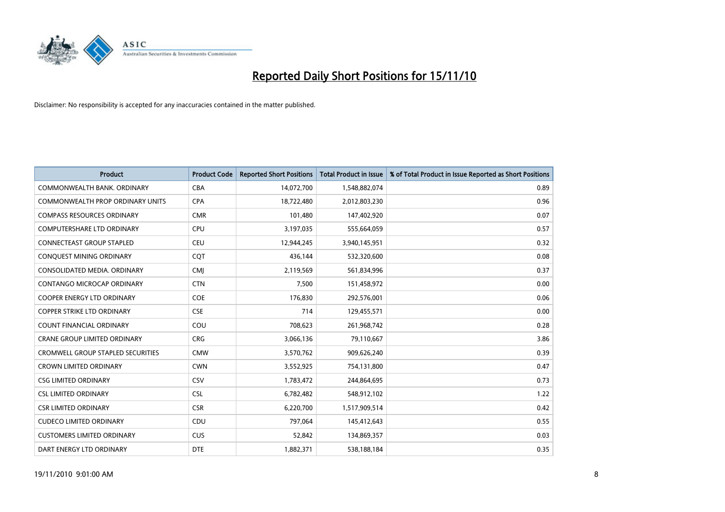

| <b>Product</b>                           | <b>Product Code</b> | <b>Reported Short Positions</b> | <b>Total Product in Issue</b> | % of Total Product in Issue Reported as Short Positions |
|------------------------------------------|---------------------|---------------------------------|-------------------------------|---------------------------------------------------------|
| COMMONWEALTH BANK, ORDINARY              | <b>CBA</b>          | 14,072,700                      | 1,548,882,074                 | 0.89                                                    |
| <b>COMMONWEALTH PROP ORDINARY UNITS</b>  | <b>CPA</b>          | 18,722,480                      | 2,012,803,230                 | 0.96                                                    |
| <b>COMPASS RESOURCES ORDINARY</b>        | <b>CMR</b>          | 101,480                         | 147,402,920                   | 0.07                                                    |
| <b>COMPUTERSHARE LTD ORDINARY</b>        | <b>CPU</b>          | 3,197,035                       | 555,664,059                   | 0.57                                                    |
| <b>CONNECTEAST GROUP STAPLED</b>         | <b>CEU</b>          | 12,944,245                      | 3,940,145,951                 | 0.32                                                    |
| CONQUEST MINING ORDINARY                 | COT                 | 436,144                         | 532,320,600                   | 0.08                                                    |
| CONSOLIDATED MEDIA, ORDINARY             | <b>CMI</b>          | 2,119,569                       | 561,834,996                   | 0.37                                                    |
| CONTANGO MICROCAP ORDINARY               | <b>CTN</b>          | 7,500                           | 151,458,972                   | 0.00                                                    |
| <b>COOPER ENERGY LTD ORDINARY</b>        | <b>COE</b>          | 176,830                         | 292,576,001                   | 0.06                                                    |
| <b>COPPER STRIKE LTD ORDINARY</b>        | <b>CSE</b>          | 714                             | 129,455,571                   | 0.00                                                    |
| COUNT FINANCIAL ORDINARY                 | COU                 | 708,623                         | 261,968,742                   | 0.28                                                    |
| <b>CRANE GROUP LIMITED ORDINARY</b>      | <b>CRG</b>          | 3,066,136                       | 79,110,667                    | 3.86                                                    |
| <b>CROMWELL GROUP STAPLED SECURITIES</b> | <b>CMW</b>          | 3,570,762                       | 909,626,240                   | 0.39                                                    |
| <b>CROWN LIMITED ORDINARY</b>            | <b>CWN</b>          | 3,552,925                       | 754,131,800                   | 0.47                                                    |
| <b>CSG LIMITED ORDINARY</b>              | <b>CSV</b>          | 1,783,472                       | 244,864,695                   | 0.73                                                    |
| <b>CSL LIMITED ORDINARY</b>              | <b>CSL</b>          | 6,782,482                       | 548,912,102                   | 1.22                                                    |
| <b>CSR LIMITED ORDINARY</b>              | <b>CSR</b>          | 6,220,700                       | 1,517,909,514                 | 0.42                                                    |
| <b>CUDECO LIMITED ORDINARY</b>           | CDU                 | 797,064                         | 145,412,643                   | 0.55                                                    |
| <b>CUSTOMERS LIMITED ORDINARY</b>        | <b>CUS</b>          | 52,842                          | 134,869,357                   | 0.03                                                    |
| DART ENERGY LTD ORDINARY                 | <b>DTE</b>          | 1,882,371                       | 538,188,184                   | 0.35                                                    |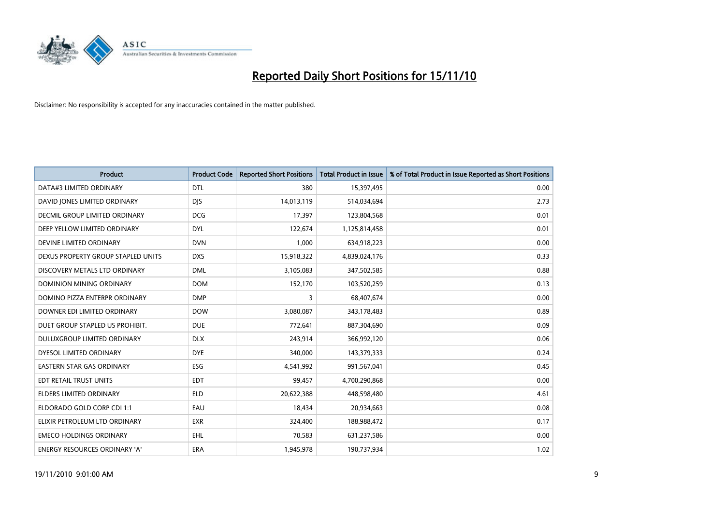

| <b>Product</b>                       | <b>Product Code</b> | <b>Reported Short Positions</b> | Total Product in Issue | % of Total Product in Issue Reported as Short Positions |
|--------------------------------------|---------------------|---------------------------------|------------------------|---------------------------------------------------------|
| DATA#3 LIMITED ORDINARY              | <b>DTL</b>          | 380                             | 15,397,495             | 0.00                                                    |
| DAVID JONES LIMITED ORDINARY         | <b>DIS</b>          | 14,013,119                      | 514,034,694            | 2.73                                                    |
| DECMIL GROUP LIMITED ORDINARY        | <b>DCG</b>          | 17,397                          | 123,804,568            | 0.01                                                    |
| DEEP YELLOW LIMITED ORDINARY         | <b>DYL</b>          | 122,674                         | 1,125,814,458          | 0.01                                                    |
| DEVINE LIMITED ORDINARY              | <b>DVN</b>          | 1,000                           | 634,918,223            | 0.00                                                    |
| DEXUS PROPERTY GROUP STAPLED UNITS   | <b>DXS</b>          | 15,918,322                      | 4,839,024,176          | 0.33                                                    |
| DISCOVERY METALS LTD ORDINARY        | <b>DML</b>          | 3,105,083                       | 347,502,585            | 0.88                                                    |
| <b>DOMINION MINING ORDINARY</b>      | <b>DOM</b>          | 152,170                         | 103,520,259            | 0.13                                                    |
| DOMINO PIZZA ENTERPR ORDINARY        | <b>DMP</b>          | 3                               | 68,407,674             | 0.00                                                    |
| DOWNER EDI LIMITED ORDINARY          | <b>DOW</b>          | 3,080,087                       | 343,178,483            | 0.89                                                    |
| DUET GROUP STAPLED US PROHIBIT.      | <b>DUE</b>          | 772,641                         | 887,304,690            | 0.09                                                    |
| DULUXGROUP LIMITED ORDINARY          | <b>DLX</b>          | 243,914                         | 366,992,120            | 0.06                                                    |
| DYESOL LIMITED ORDINARY              | <b>DYE</b>          | 340,000                         | 143,379,333            | 0.24                                                    |
| <b>EASTERN STAR GAS ORDINARY</b>     | ESG                 | 4,541,992                       | 991,567,041            | 0.45                                                    |
| EDT RETAIL TRUST UNITS               | <b>EDT</b>          | 99,457                          | 4,700,290,868          | 0.00                                                    |
| ELDERS LIMITED ORDINARY              | <b>ELD</b>          | 20,622,388                      | 448,598,480            | 4.61                                                    |
| ELDORADO GOLD CORP CDI 1:1           | EAU                 | 18,434                          | 20,934,663             | 0.08                                                    |
| ELIXIR PETROLEUM LTD ORDINARY        | <b>EXR</b>          | 324,400                         | 188,988,472            | 0.17                                                    |
| <b>EMECO HOLDINGS ORDINARY</b>       | EHL                 | 70,583                          | 631,237,586            | 0.00                                                    |
| <b>ENERGY RESOURCES ORDINARY 'A'</b> | <b>ERA</b>          | 1,945,978                       | 190,737,934            | 1.02                                                    |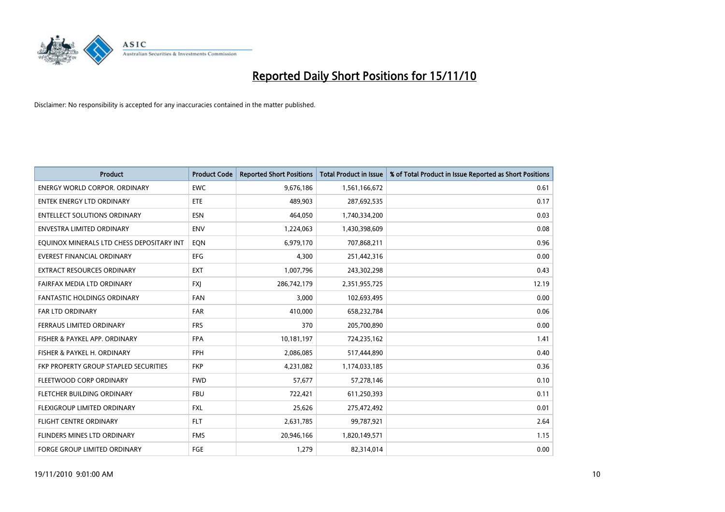

| <b>Product</b>                            | <b>Product Code</b> | <b>Reported Short Positions</b> | <b>Total Product in Issue</b> | % of Total Product in Issue Reported as Short Positions |
|-------------------------------------------|---------------------|---------------------------------|-------------------------------|---------------------------------------------------------|
| <b>ENERGY WORLD CORPOR, ORDINARY</b>      | <b>EWC</b>          | 9,676,186                       | 1,561,166,672                 | 0.61                                                    |
| ENTEK ENERGY LTD ORDINARY                 | ETE                 | 489,903                         | 287,692,535                   | 0.17                                                    |
| <b>ENTELLECT SOLUTIONS ORDINARY</b>       | <b>ESN</b>          | 464,050                         | 1,740,334,200                 | 0.03                                                    |
| ENVESTRA LIMITED ORDINARY                 | <b>ENV</b>          | 1,224,063                       | 1,430,398,609                 | 0.08                                                    |
| EQUINOX MINERALS LTD CHESS DEPOSITARY INT | <b>EON</b>          | 6,979,170                       | 707,868,211                   | 0.96                                                    |
| <b>EVEREST FINANCIAL ORDINARY</b>         | <b>EFG</b>          | 4.300                           | 251,442,316                   | 0.00                                                    |
| <b>EXTRACT RESOURCES ORDINARY</b>         | <b>EXT</b>          | 1,007,796                       | 243,302,298                   | 0.43                                                    |
| FAIRFAX MEDIA LTD ORDINARY                | <b>FXJ</b>          | 286,742,179                     | 2,351,955,725                 | 12.19                                                   |
| FANTASTIC HOLDINGS ORDINARY               | <b>FAN</b>          | 3,000                           | 102,693,495                   | 0.00                                                    |
| <b>FAR LTD ORDINARY</b>                   | <b>FAR</b>          | 410,000                         | 658,232,784                   | 0.06                                                    |
| FERRAUS LIMITED ORDINARY                  | <b>FRS</b>          | 370                             | 205,700,890                   | 0.00                                                    |
| FISHER & PAYKEL APP. ORDINARY             | <b>FPA</b>          | 10,181,197                      | 724,235,162                   | 1.41                                                    |
| FISHER & PAYKEL H. ORDINARY               | <b>FPH</b>          | 2,086,085                       | 517,444,890                   | 0.40                                                    |
| FKP PROPERTY GROUP STAPLED SECURITIES     | <b>FKP</b>          | 4,231,082                       | 1,174,033,185                 | 0.36                                                    |
| FLEETWOOD CORP ORDINARY                   | <b>FWD</b>          | 57,677                          | 57,278,146                    | 0.10                                                    |
| FLETCHER BUILDING ORDINARY                | <b>FBU</b>          | 722,421                         | 611,250,393                   | 0.11                                                    |
| FLEXIGROUP LIMITED ORDINARY               | <b>FXL</b>          | 25,626                          | 275,472,492                   | 0.01                                                    |
| <b>FLIGHT CENTRE ORDINARY</b>             | <b>FLT</b>          | 2,631,785                       | 99,787,921                    | 2.64                                                    |
| FLINDERS MINES LTD ORDINARY               | <b>FMS</b>          | 20,946,166                      | 1,820,149,571                 | 1.15                                                    |
| FORGE GROUP LIMITED ORDINARY              | FGE                 | 1,279                           | 82,314,014                    | 0.00                                                    |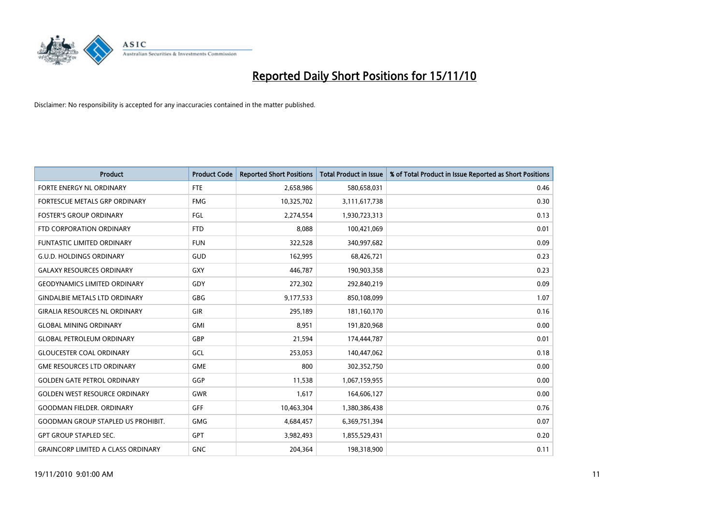

| <b>Product</b>                            | <b>Product Code</b> | <b>Reported Short Positions</b> | <b>Total Product in Issue</b> | % of Total Product in Issue Reported as Short Positions |
|-------------------------------------------|---------------------|---------------------------------|-------------------------------|---------------------------------------------------------|
| FORTE ENERGY NL ORDINARY                  | <b>FTE</b>          | 2,658,986                       | 580,658,031                   | 0.46                                                    |
| FORTESCUE METALS GRP ORDINARY             | <b>FMG</b>          | 10,325,702                      | 3,111,617,738                 | 0.30                                                    |
| <b>FOSTER'S GROUP ORDINARY</b>            | FGL                 | 2,274,554                       | 1,930,723,313                 | 0.13                                                    |
| FTD CORPORATION ORDINARY                  | <b>FTD</b>          | 8,088                           | 100,421,069                   | 0.01                                                    |
| <b>FUNTASTIC LIMITED ORDINARY</b>         | <b>FUN</b>          | 322,528                         | 340,997,682                   | 0.09                                                    |
| <b>G.U.D. HOLDINGS ORDINARY</b>           | GUD                 | 162,995                         | 68,426,721                    | 0.23                                                    |
| <b>GALAXY RESOURCES ORDINARY</b>          | <b>GXY</b>          | 446,787                         | 190,903,358                   | 0.23                                                    |
| <b>GEODYNAMICS LIMITED ORDINARY</b>       | GDY                 | 272,302                         | 292,840,219                   | 0.09                                                    |
| <b>GINDALBIE METALS LTD ORDINARY</b>      | <b>GBG</b>          | 9,177,533                       | 850,108,099                   | 1.07                                                    |
| <b>GIRALIA RESOURCES NL ORDINARY</b>      | GIR                 | 295,189                         | 181,160,170                   | 0.16                                                    |
| <b>GLOBAL MINING ORDINARY</b>             | <b>GMI</b>          | 8,951                           | 191,820,968                   | 0.00                                                    |
| <b>GLOBAL PETROLEUM ORDINARY</b>          | GBP                 | 21,594                          | 174,444,787                   | 0.01                                                    |
| <b>GLOUCESTER COAL ORDINARY</b>           | GCL                 | 253,053                         | 140,447,062                   | 0.18                                                    |
| <b>GME RESOURCES LTD ORDINARY</b>         | <b>GME</b>          | 800                             | 302,352,750                   | 0.00                                                    |
| <b>GOLDEN GATE PETROL ORDINARY</b>        | GGP                 | 11,538                          | 1,067,159,955                 | 0.00                                                    |
| <b>GOLDEN WEST RESOURCE ORDINARY</b>      | <b>GWR</b>          | 1,617                           | 164,606,127                   | 0.00                                                    |
| <b>GOODMAN FIELDER, ORDINARY</b>          | <b>GFF</b>          | 10,463,304                      | 1,380,386,438                 | 0.76                                                    |
| <b>GOODMAN GROUP STAPLED US PROHIBIT.</b> | <b>GMG</b>          | 4,684,457                       | 6,369,751,394                 | 0.07                                                    |
| <b>GPT GROUP STAPLED SEC.</b>             | <b>GPT</b>          | 3,982,493                       | 1,855,529,431                 | 0.20                                                    |
| <b>GRAINCORP LIMITED A CLASS ORDINARY</b> | <b>GNC</b>          | 204,364                         | 198,318,900                   | 0.11                                                    |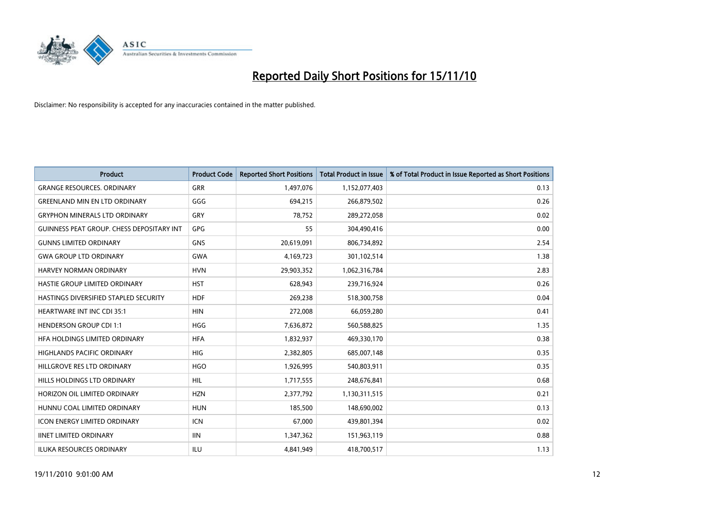

| <b>Product</b>                                   | <b>Product Code</b> | <b>Reported Short Positions</b> | <b>Total Product in Issue</b> | % of Total Product in Issue Reported as Short Positions |
|--------------------------------------------------|---------------------|---------------------------------|-------------------------------|---------------------------------------------------------|
| <b>GRANGE RESOURCES, ORDINARY</b>                | <b>GRR</b>          | 1,497,076                       | 1,152,077,403                 | 0.13                                                    |
| <b>GREENLAND MIN EN LTD ORDINARY</b>             | GGG                 | 694,215                         | 266,879,502                   | 0.26                                                    |
| <b>GRYPHON MINERALS LTD ORDINARY</b>             | GRY                 | 78,752                          | 289,272,058                   | 0.02                                                    |
| <b>GUINNESS PEAT GROUP. CHESS DEPOSITARY INT</b> | <b>GPG</b>          | 55                              | 304,490,416                   | 0.00                                                    |
| <b>GUNNS LIMITED ORDINARY</b>                    | <b>GNS</b>          | 20,619,091                      | 806,734,892                   | 2.54                                                    |
| <b>GWA GROUP LTD ORDINARY</b>                    | <b>GWA</b>          | 4,169,723                       | 301,102,514                   | 1.38                                                    |
| <b>HARVEY NORMAN ORDINARY</b>                    | <b>HVN</b>          | 29,903,352                      | 1,062,316,784                 | 2.83                                                    |
| HASTIE GROUP LIMITED ORDINARY                    | <b>HST</b>          | 628,943                         | 239,716,924                   | 0.26                                                    |
| HASTINGS DIVERSIFIED STAPLED SECURITY            | <b>HDF</b>          | 269,238                         | 518,300,758                   | 0.04                                                    |
| HEARTWARE INT INC CDI 35:1                       | <b>HIN</b>          | 272,008                         | 66,059,280                    | 0.41                                                    |
| <b>HENDERSON GROUP CDI 1:1</b>                   | HGG                 | 7,636,872                       | 560,588,825                   | 1.35                                                    |
| HFA HOLDINGS LIMITED ORDINARY                    | <b>HFA</b>          | 1,832,937                       | 469,330,170                   | 0.38                                                    |
| <b>HIGHLANDS PACIFIC ORDINARY</b>                | <b>HIG</b>          | 2,382,805                       | 685,007,148                   | 0.35                                                    |
| HILLGROVE RES LTD ORDINARY                       | <b>HGO</b>          | 1,926,995                       | 540,803,911                   | 0.35                                                    |
| HILLS HOLDINGS LTD ORDINARY                      | <b>HIL</b>          | 1,717,555                       | 248,676,841                   | 0.68                                                    |
| HORIZON OIL LIMITED ORDINARY                     | <b>HZN</b>          | 2,377,792                       | 1,130,311,515                 | 0.21                                                    |
| HUNNU COAL LIMITED ORDINARY                      | <b>HUN</b>          | 185,500                         | 148,690,002                   | 0.13                                                    |
| ICON ENERGY LIMITED ORDINARY                     | <b>ICN</b>          | 67,000                          | 439,801,394                   | 0.02                                                    |
| <b>IINET LIMITED ORDINARY</b>                    | <b>IIN</b>          | 1,347,362                       | 151,963,119                   | 0.88                                                    |
| ILUKA RESOURCES ORDINARY                         | ILU                 | 4,841,949                       | 418,700,517                   | 1.13                                                    |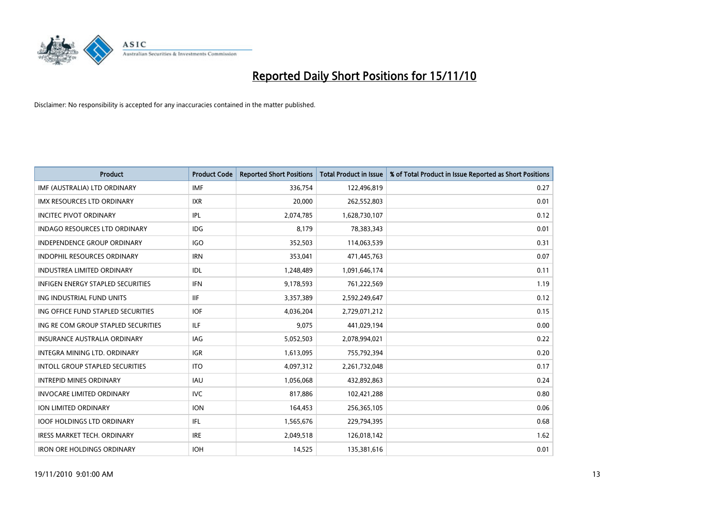

| <b>Product</b>                           | <b>Product Code</b> | <b>Reported Short Positions</b> | <b>Total Product in Issue</b> | % of Total Product in Issue Reported as Short Positions |
|------------------------------------------|---------------------|---------------------------------|-------------------------------|---------------------------------------------------------|
| IMF (AUSTRALIA) LTD ORDINARY             | <b>IMF</b>          | 336,754                         | 122,496,819                   | 0.27                                                    |
| IMX RESOURCES LTD ORDINARY               | <b>IXR</b>          | 20,000                          | 262,552,803                   | 0.01                                                    |
| <b>INCITEC PIVOT ORDINARY</b>            | IPL                 | 2,074,785                       | 1,628,730,107                 | 0.12                                                    |
| INDAGO RESOURCES LTD ORDINARY            | IDG                 | 8,179                           | 78,383,343                    | 0.01                                                    |
| <b>INDEPENDENCE GROUP ORDINARY</b>       | <b>IGO</b>          | 352,503                         | 114,063,539                   | 0.31                                                    |
| <b>INDOPHIL RESOURCES ORDINARY</b>       | <b>IRN</b>          | 353,041                         | 471,445,763                   | 0.07                                                    |
| <b>INDUSTREA LIMITED ORDINARY</b>        | IDL                 | 1,248,489                       | 1,091,646,174                 | 0.11                                                    |
| <b>INFIGEN ENERGY STAPLED SECURITIES</b> | <b>IFN</b>          | 9,178,593                       | 761,222,569                   | 1.19                                                    |
| ING INDUSTRIAL FUND UNITS                | <b>IIF</b>          | 3,357,389                       | 2,592,249,647                 | 0.12                                                    |
| ING OFFICE FUND STAPLED SECURITIES       | <b>IOF</b>          | 4,036,204                       | 2,729,071,212                 | 0.15                                                    |
| ING RE COM GROUP STAPLED SECURITIES      | ILF.                | 9,075                           | 441,029,194                   | 0.00                                                    |
| <b>INSURANCE AUSTRALIA ORDINARY</b>      | IAG                 | 5,052,503                       | 2,078,994,021                 | 0.22                                                    |
| INTEGRA MINING LTD. ORDINARY             | <b>IGR</b>          | 1,613,095                       | 755,792,394                   | 0.20                                                    |
| <b>INTOLL GROUP STAPLED SECURITIES</b>   | <b>ITO</b>          | 4,097,312                       | 2,261,732,048                 | 0.17                                                    |
| <b>INTREPID MINES ORDINARY</b>           | <b>IAU</b>          | 1,056,068                       | 432,892,863                   | 0.24                                                    |
| <b>INVOCARE LIMITED ORDINARY</b>         | <b>IVC</b>          | 817,886                         | 102,421,288                   | 0.80                                                    |
| ION LIMITED ORDINARY                     | <b>ION</b>          | 164,453                         | 256,365,105                   | 0.06                                                    |
| <b>IOOF HOLDINGS LTD ORDINARY</b>        | IFL                 | 1,565,676                       | 229,794,395                   | 0.68                                                    |
| <b>IRESS MARKET TECH. ORDINARY</b>       | <b>IRE</b>          | 2,049,518                       | 126,018,142                   | 1.62                                                    |
| <b>IRON ORE HOLDINGS ORDINARY</b>        | <b>IOH</b>          | 14.525                          | 135,381,616                   | 0.01                                                    |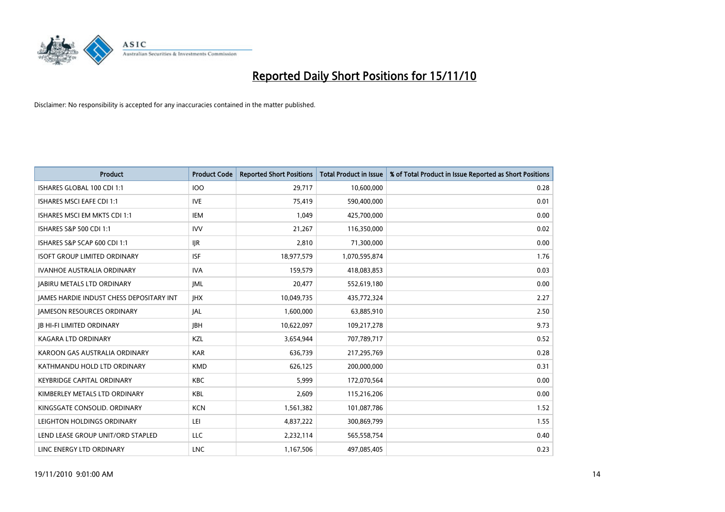

| Product                                  | <b>Product Code</b> | <b>Reported Short Positions</b> | Total Product in Issue | % of Total Product in Issue Reported as Short Positions |
|------------------------------------------|---------------------|---------------------------------|------------------------|---------------------------------------------------------|
| ISHARES GLOBAL 100 CDI 1:1               | <b>IOO</b>          | 29,717                          | 10,600,000             | 0.28                                                    |
| ISHARES MSCI EAFE CDI 1:1                | <b>IVE</b>          | 75,419                          | 590,400,000            | 0.01                                                    |
| ISHARES MSCI EM MKTS CDI 1:1             | <b>IEM</b>          | 1,049                           | 425,700,000            | 0.00                                                    |
| ISHARES S&P 500 CDI 1:1                  | <b>IVV</b>          | 21,267                          | 116,350,000            | 0.02                                                    |
| ISHARES S&P SCAP 600 CDI 1:1             | <b>IJR</b>          | 2,810                           | 71,300,000             | 0.00                                                    |
| <b>ISOFT GROUP LIMITED ORDINARY</b>      | <b>ISF</b>          | 18,977,579                      | 1,070,595,874          | 1.76                                                    |
| <b>IVANHOE AUSTRALIA ORDINARY</b>        | <b>IVA</b>          | 159,579                         | 418,083,853            | 0.03                                                    |
| <b>JABIRU METALS LTD ORDINARY</b>        | <b>JML</b>          | 20,477                          | 552,619,180            | 0.00                                                    |
| JAMES HARDIE INDUST CHESS DEPOSITARY INT | <b>IHX</b>          | 10,049,735                      | 435,772,324            | 2.27                                                    |
| <b>JAMESON RESOURCES ORDINARY</b>        | <b>JAL</b>          | 1,600,000                       | 63,885,910             | 2.50                                                    |
| <b>JB HI-FI LIMITED ORDINARY</b>         | <b>IBH</b>          | 10,622,097                      | 109,217,278            | 9.73                                                    |
| <b>KAGARA LTD ORDINARY</b>               | KZL                 | 3,654,944                       | 707,789,717            | 0.52                                                    |
| KAROON GAS AUSTRALIA ORDINARY            | <b>KAR</b>          | 636,739                         | 217,295,769            | 0.28                                                    |
| KATHMANDU HOLD LTD ORDINARY              | <b>KMD</b>          | 626,125                         | 200,000,000            | 0.31                                                    |
| <b>KEYBRIDGE CAPITAL ORDINARY</b>        | <b>KBC</b>          | 5,999                           | 172,070,564            | 0.00                                                    |
| KIMBERLEY METALS LTD ORDINARY            | <b>KBL</b>          | 2,609                           | 115,216,206            | 0.00                                                    |
| KINGSGATE CONSOLID. ORDINARY             | <b>KCN</b>          | 1,561,382                       | 101,087,786            | 1.52                                                    |
| LEIGHTON HOLDINGS ORDINARY               | LEI                 | 4,837,222                       | 300,869,799            | 1.55                                                    |
| LEND LEASE GROUP UNIT/ORD STAPLED        | LLC                 | 2,232,114                       | 565,558,754            | 0.40                                                    |
| LINC ENERGY LTD ORDINARY                 | <b>LNC</b>          | 1,167,506                       | 497,085,405            | 0.23                                                    |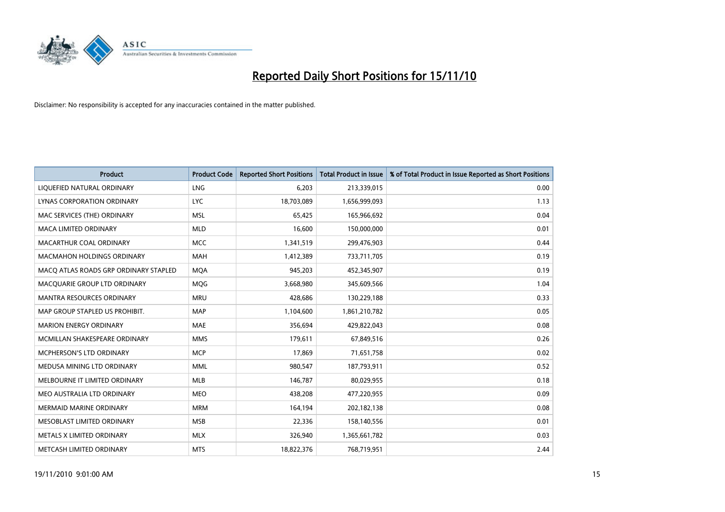

| Product                               | <b>Product Code</b> | <b>Reported Short Positions</b> | <b>Total Product in Issue</b> | % of Total Product in Issue Reported as Short Positions |
|---------------------------------------|---------------------|---------------------------------|-------------------------------|---------------------------------------------------------|
| LIQUEFIED NATURAL ORDINARY            | <b>LNG</b>          | 6,203                           | 213,339,015                   | 0.00                                                    |
| LYNAS CORPORATION ORDINARY            | <b>LYC</b>          | 18,703,089                      | 1,656,999,093                 | 1.13                                                    |
| MAC SERVICES (THE) ORDINARY           | <b>MSL</b>          | 65,425                          | 165,966,692                   | 0.04                                                    |
| <b>MACA LIMITED ORDINARY</b>          | <b>MLD</b>          | 16,600                          | 150,000,000                   | 0.01                                                    |
| MACARTHUR COAL ORDINARY               | <b>MCC</b>          | 1,341,519                       | 299,476,903                   | 0.44                                                    |
| <b>MACMAHON HOLDINGS ORDINARY</b>     | <b>MAH</b>          | 1,412,389                       | 733,711,705                   | 0.19                                                    |
| MACQ ATLAS ROADS GRP ORDINARY STAPLED | <b>MOA</b>          | 945,203                         | 452,345,907                   | 0.19                                                    |
| MACQUARIE GROUP LTD ORDINARY          | MQG                 | 3,668,980                       | 345,609,566                   | 1.04                                                    |
| <b>MANTRA RESOURCES ORDINARY</b>      | <b>MRU</b>          | 428,686                         | 130,229,188                   | 0.33                                                    |
| MAP GROUP STAPLED US PROHIBIT.        | <b>MAP</b>          | 1,104,600                       | 1,861,210,782                 | 0.05                                                    |
| <b>MARION ENERGY ORDINARY</b>         | <b>MAE</b>          | 356,694                         | 429,822,043                   | 0.08                                                    |
| MCMILLAN SHAKESPEARE ORDINARY         | <b>MMS</b>          | 179,611                         | 67,849,516                    | 0.26                                                    |
| MCPHERSON'S LTD ORDINARY              | <b>MCP</b>          | 17,869                          | 71,651,758                    | 0.02                                                    |
| MEDUSA MINING LTD ORDINARY            | <b>MML</b>          | 980,547                         | 187,793,911                   | 0.52                                                    |
| MELBOURNE IT LIMITED ORDINARY         | <b>MLB</b>          | 146,787                         | 80,029,955                    | 0.18                                                    |
| MEO AUSTRALIA LTD ORDINARY            | <b>MEO</b>          | 438,208                         | 477,220,955                   | 0.09                                                    |
| MERMAID MARINE ORDINARY               | <b>MRM</b>          | 164,194                         | 202,182,138                   | 0.08                                                    |
| MESOBLAST LIMITED ORDINARY            | <b>MSB</b>          | 22,336                          | 158,140,556                   | 0.01                                                    |
| METALS X LIMITED ORDINARY             | <b>MLX</b>          | 326,940                         | 1,365,661,782                 | 0.03                                                    |
| METCASH LIMITED ORDINARY              | <b>MTS</b>          | 18,822,376                      | 768,719,951                   | 2.44                                                    |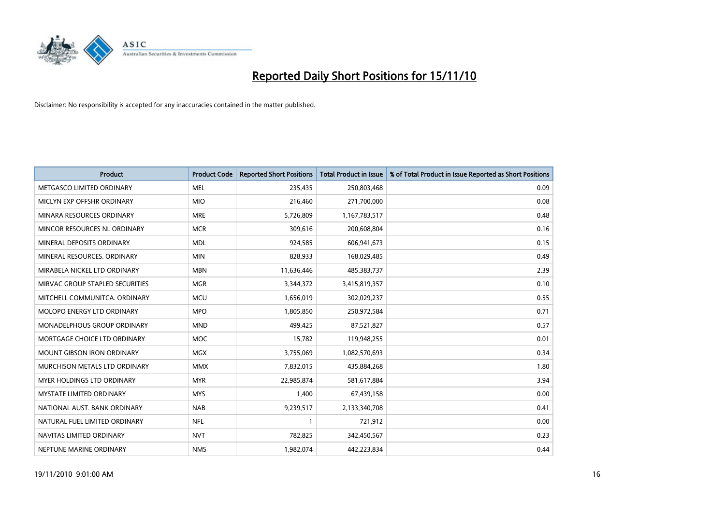

| Product                         | <b>Product Code</b> | <b>Reported Short Positions</b> | Total Product in Issue | % of Total Product in Issue Reported as Short Positions |
|---------------------------------|---------------------|---------------------------------|------------------------|---------------------------------------------------------|
| METGASCO LIMITED ORDINARY       | <b>MEL</b>          | 235,435                         | 250,803,468            | 0.09                                                    |
| MICLYN EXP OFFSHR ORDINARY      | <b>MIO</b>          | 216,460                         | 271,700,000            | 0.08                                                    |
| MINARA RESOURCES ORDINARY       | <b>MRE</b>          | 5,726,809                       | 1,167,783,517          | 0.48                                                    |
| MINCOR RESOURCES NL ORDINARY    | <b>MCR</b>          | 309,616                         | 200,608,804            | 0.16                                                    |
| MINERAL DEPOSITS ORDINARY       | <b>MDL</b>          | 924,585                         | 606,941,673            | 0.15                                                    |
| MINERAL RESOURCES, ORDINARY     | <b>MIN</b>          | 828,933                         | 168,029,485            | 0.49                                                    |
| MIRABELA NICKEL LTD ORDINARY    | <b>MBN</b>          | 11,636,446                      | 485,383,737            | 2.39                                                    |
| MIRVAC GROUP STAPLED SECURITIES | <b>MGR</b>          | 3,344,372                       | 3,415,819,357          | 0.10                                                    |
| MITCHELL COMMUNITCA. ORDINARY   | <b>MCU</b>          | 1,656,019                       | 302,029,237            | 0.55                                                    |
| MOLOPO ENERGY LTD ORDINARY      | <b>MPO</b>          | 1,805,850                       | 250,972,584            | 0.71                                                    |
| MONADELPHOUS GROUP ORDINARY     | <b>MND</b>          | 499,425                         | 87,521,827             | 0.57                                                    |
| MORTGAGE CHOICE LTD ORDINARY    | <b>MOC</b>          | 15,782                          | 119,948,255            | 0.01                                                    |
| MOUNT GIBSON IRON ORDINARY      | <b>MGX</b>          | 3,755,069                       | 1,082,570,693          | 0.34                                                    |
| MURCHISON METALS LTD ORDINARY   | <b>MMX</b>          | 7,832,015                       | 435,884,268            | 1.80                                                    |
| MYER HOLDINGS LTD ORDINARY      | <b>MYR</b>          | 22,985,874                      | 581,617,884            | 3.94                                                    |
| MYSTATE LIMITED ORDINARY        | <b>MYS</b>          | 1,400                           | 67,439,158             | 0.00                                                    |
| NATIONAL AUST, BANK ORDINARY    | <b>NAB</b>          | 9,239,517                       | 2,133,340,708          | 0.41                                                    |
| NATURAL FUEL LIMITED ORDINARY   | <b>NFL</b>          |                                 | 721,912                | 0.00                                                    |
| NAVITAS LIMITED ORDINARY        | <b>NVT</b>          | 782,825                         | 342,450,567            | 0.23                                                    |
| NEPTUNE MARINE ORDINARY         | <b>NMS</b>          | 1,982,074                       | 442,223,834            | 0.44                                                    |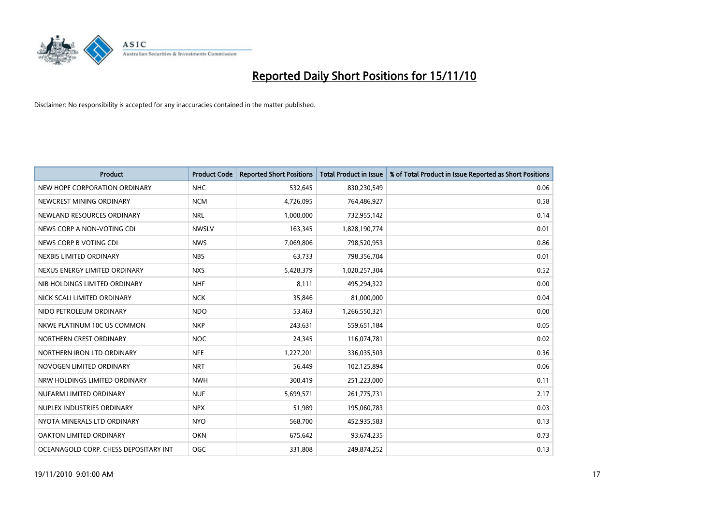

| <b>Product</b>                        | <b>Product Code</b> | <b>Reported Short Positions</b> | <b>Total Product in Issue</b> | % of Total Product in Issue Reported as Short Positions |
|---------------------------------------|---------------------|---------------------------------|-------------------------------|---------------------------------------------------------|
| NEW HOPE CORPORATION ORDINARY         | <b>NHC</b>          | 532,645                         | 830,230,549                   | 0.06                                                    |
| NEWCREST MINING ORDINARY              | <b>NCM</b>          | 4,726,095                       | 764,486,927                   | 0.58                                                    |
| NEWLAND RESOURCES ORDINARY            | <b>NRL</b>          | 1,000,000                       | 732,955,142                   | 0.14                                                    |
| NEWS CORP A NON-VOTING CDI            | <b>NWSLV</b>        | 163,345                         | 1,828,190,774                 | 0.01                                                    |
| NEWS CORP B VOTING CDI                | <b>NWS</b>          | 7,069,806                       | 798,520,953                   | 0.86                                                    |
| NEXBIS LIMITED ORDINARY               | <b>NBS</b>          | 63,733                          | 798,356,704                   | 0.01                                                    |
| NEXUS ENERGY LIMITED ORDINARY         | <b>NXS</b>          | 5,428,379                       | 1,020,257,304                 | 0.52                                                    |
| NIB HOLDINGS LIMITED ORDINARY         | <b>NHF</b>          | 8,111                           | 495,294,322                   | 0.00                                                    |
| NICK SCALI LIMITED ORDINARY           | <b>NCK</b>          | 35,846                          | 81,000,000                    | 0.04                                                    |
| NIDO PETROLEUM ORDINARY               | <b>NDO</b>          | 53,463                          | 1,266,550,321                 | 0.00                                                    |
| NKWE PLATINUM 10C US COMMON           | <b>NKP</b>          | 243,631                         | 559,651,184                   | 0.05                                                    |
| NORTHERN CREST ORDINARY               | <b>NOC</b>          | 24,345                          | 116,074,781                   | 0.02                                                    |
| NORTHERN IRON LTD ORDINARY            | <b>NFE</b>          | 1,227,201                       | 336,035,503                   | 0.36                                                    |
| NOVOGEN LIMITED ORDINARY              | <b>NRT</b>          | 56,449                          | 102,125,894                   | 0.06                                                    |
| NRW HOLDINGS LIMITED ORDINARY         | <b>NWH</b>          | 300,419                         | 251,223,000                   | 0.11                                                    |
| NUFARM LIMITED ORDINARY               | <b>NUF</b>          | 5,699,571                       | 261,775,731                   | 2.17                                                    |
| NUPLEX INDUSTRIES ORDINARY            | <b>NPX</b>          | 51,989                          | 195,060,783                   | 0.03                                                    |
| NYOTA MINERALS LTD ORDINARY           | <b>NYO</b>          | 568,700                         | 452,935,583                   | 0.13                                                    |
| OAKTON LIMITED ORDINARY               | <b>OKN</b>          | 675,642                         | 93,674,235                    | 0.73                                                    |
| OCEANAGOLD CORP. CHESS DEPOSITARY INT | <b>OGC</b>          | 331,808                         | 249.874.252                   | 0.13                                                    |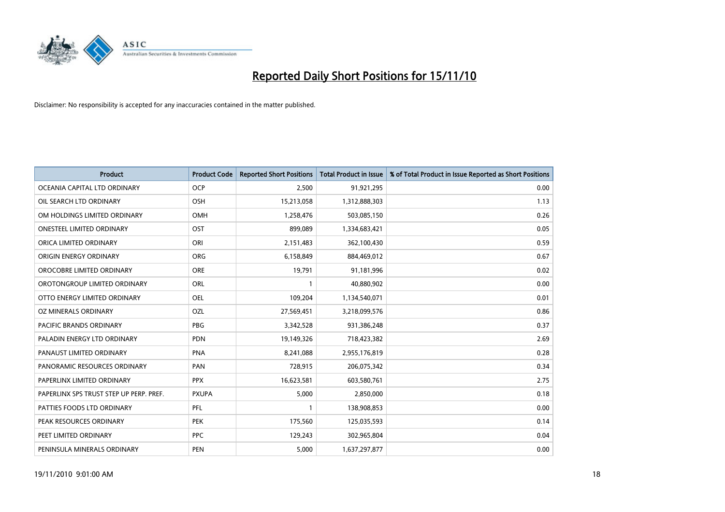

| Product                                 | <b>Product Code</b> | <b>Reported Short Positions</b> | Total Product in Issue | % of Total Product in Issue Reported as Short Positions |
|-----------------------------------------|---------------------|---------------------------------|------------------------|---------------------------------------------------------|
| OCEANIA CAPITAL LTD ORDINARY            | <b>OCP</b>          | 2,500                           | 91,921,295             | 0.00                                                    |
| OIL SEARCH LTD ORDINARY                 | <b>OSH</b>          | 15,213,058                      | 1,312,888,303          | 1.13                                                    |
| OM HOLDINGS LIMITED ORDINARY            | OMH                 | 1,258,476                       | 503,085,150            | 0.26                                                    |
| ONESTEEL LIMITED ORDINARY               | <b>OST</b>          | 899,089                         | 1,334,683,421          | 0.05                                                    |
| ORICA LIMITED ORDINARY                  | ORI                 | 2,151,483                       | 362,100,430            | 0.59                                                    |
| ORIGIN ENERGY ORDINARY                  | <b>ORG</b>          | 6,158,849                       | 884,469,012            | 0.67                                                    |
| OROCOBRE LIMITED ORDINARY               | <b>ORE</b>          | 19,791                          | 91,181,996             | 0.02                                                    |
| OROTONGROUP LIMITED ORDINARY            | ORL                 |                                 | 40,880,902             | 0.00                                                    |
| OTTO ENERGY LIMITED ORDINARY            | <b>OEL</b>          | 109,204                         | 1,134,540,071          | 0.01                                                    |
| OZ MINERALS ORDINARY                    | OZL                 | 27,569,451                      | 3,218,099,576          | 0.86                                                    |
| PACIFIC BRANDS ORDINARY                 | <b>PBG</b>          | 3,342,528                       | 931,386,248            | 0.37                                                    |
| PALADIN ENERGY LTD ORDINARY             | <b>PDN</b>          | 19,149,326                      | 718,423,382            | 2.69                                                    |
| PANAUST LIMITED ORDINARY                | <b>PNA</b>          | 8.241.088                       | 2,955,176,819          | 0.28                                                    |
| PANORAMIC RESOURCES ORDINARY            | PAN                 | 728,915                         | 206,075,342            | 0.34                                                    |
| PAPERLINX LIMITED ORDINARY              | <b>PPX</b>          | 16,623,581                      | 603,580,761            | 2.75                                                    |
| PAPERLINX SPS TRUST STEP UP PERP. PREF. | <b>PXUPA</b>        | 5,000                           | 2,850,000              | 0.18                                                    |
| PATTIES FOODS LTD ORDINARY              | PFL                 |                                 | 138,908,853            | 0.00                                                    |
| PEAK RESOURCES ORDINARY                 | <b>PEK</b>          | 175,560                         | 125,035,593            | 0.14                                                    |
| PEET LIMITED ORDINARY                   | <b>PPC</b>          | 129,243                         | 302,965,804            | 0.04                                                    |
| PENINSULA MINERALS ORDINARY             | <b>PEN</b>          | 5,000                           | 1,637,297,877          | 0.00                                                    |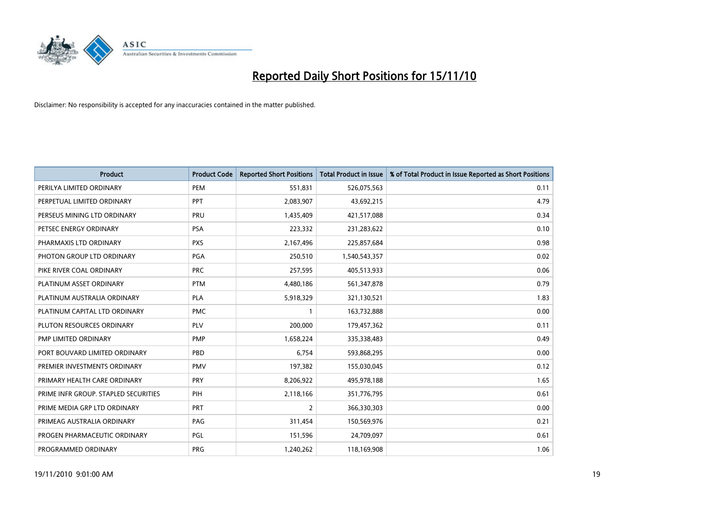

| Product                              | <b>Product Code</b> | <b>Reported Short Positions</b> | <b>Total Product in Issue</b> | % of Total Product in Issue Reported as Short Positions |
|--------------------------------------|---------------------|---------------------------------|-------------------------------|---------------------------------------------------------|
| PERILYA LIMITED ORDINARY             | PEM                 | 551,831                         | 526,075,563                   | 0.11                                                    |
| PERPETUAL LIMITED ORDINARY           | PPT                 | 2,083,907                       | 43,692,215                    | 4.79                                                    |
| PERSEUS MINING LTD ORDINARY          | PRU                 | 1,435,409                       | 421,517,088                   | 0.34                                                    |
| PETSEC ENERGY ORDINARY               | <b>PSA</b>          | 223,332                         | 231,283,622                   | 0.10                                                    |
| PHARMAXIS LTD ORDINARY               | <b>PXS</b>          | 2,167,496                       | 225,857,684                   | 0.98                                                    |
| PHOTON GROUP LTD ORDINARY            | PGA                 | 250,510                         | 1,540,543,357                 | 0.02                                                    |
| PIKE RIVER COAL ORDINARY             | <b>PRC</b>          | 257,595                         | 405,513,933                   | 0.06                                                    |
| PLATINUM ASSET ORDINARY              | <b>PTM</b>          | 4,480,186                       | 561,347,878                   | 0.79                                                    |
| PLATINUM AUSTRALIA ORDINARY          | <b>PLA</b>          | 5,918,329                       | 321,130,521                   | 1.83                                                    |
| PLATINUM CAPITAL LTD ORDINARY        | <b>PMC</b>          |                                 | 163,732,888                   | 0.00                                                    |
| PLUTON RESOURCES ORDINARY            | <b>PLV</b>          | 200,000                         | 179,457,362                   | 0.11                                                    |
| PMP LIMITED ORDINARY                 | <b>PMP</b>          | 1,658,224                       | 335,338,483                   | 0.49                                                    |
| PORT BOUVARD LIMITED ORDINARY        | PBD                 | 6,754                           | 593,868,295                   | 0.00                                                    |
| PREMIER INVESTMENTS ORDINARY         | <b>PMV</b>          | 197,382                         | 155,030,045                   | 0.12                                                    |
| PRIMARY HEALTH CARE ORDINARY         | PRY                 | 8,206,922                       | 495,978,188                   | 1.65                                                    |
| PRIME INFR GROUP. STAPLED SECURITIES | PIH                 | 2,118,166                       | 351,776,795                   | 0.61                                                    |
| PRIME MEDIA GRP LTD ORDINARY         | <b>PRT</b>          | $\overline{2}$                  | 366,330,303                   | 0.00                                                    |
| PRIMEAG AUSTRALIA ORDINARY           | PAG                 | 311,454                         | 150,569,976                   | 0.21                                                    |
| PROGEN PHARMACEUTIC ORDINARY         | PGL                 | 151,596                         | 24,709,097                    | 0.61                                                    |
| PROGRAMMED ORDINARY                  | <b>PRG</b>          | 1,240,262                       | 118,169,908                   | 1.06                                                    |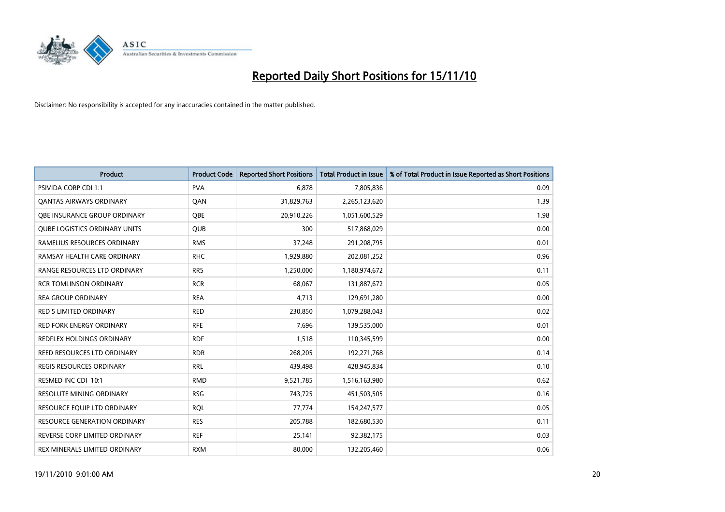

| <b>Product</b>                       | <b>Product Code</b> | <b>Reported Short Positions</b> | Total Product in Issue | % of Total Product in Issue Reported as Short Positions |
|--------------------------------------|---------------------|---------------------------------|------------------------|---------------------------------------------------------|
| <b>PSIVIDA CORP CDI 1:1</b>          | <b>PVA</b>          | 6,878                           | 7,805,836              | 0.09                                                    |
| <b>QANTAS AIRWAYS ORDINARY</b>       | QAN                 | 31,829,763                      | 2,265,123,620          | 1.39                                                    |
| OBE INSURANCE GROUP ORDINARY         | <b>OBE</b>          | 20,910,226                      | 1,051,600,529          | 1.98                                                    |
| <b>QUBE LOGISTICS ORDINARY UNITS</b> | <b>QUB</b>          | 300                             | 517,868,029            | 0.00                                                    |
| RAMELIUS RESOURCES ORDINARY          | <b>RMS</b>          | 37,248                          | 291,208,795            | 0.01                                                    |
| RAMSAY HEALTH CARE ORDINARY          | <b>RHC</b>          | 1,929,880                       | 202,081,252            | 0.96                                                    |
| RANGE RESOURCES LTD ORDINARY         | <b>RRS</b>          | 1,250,000                       | 1,180,974,672          | 0.11                                                    |
| <b>RCR TOMLINSON ORDINARY</b>        | <b>RCR</b>          | 68,067                          | 131,887,672            | 0.05                                                    |
| <b>REA GROUP ORDINARY</b>            | <b>REA</b>          | 4,713                           | 129,691,280            | 0.00                                                    |
| <b>RED 5 LIMITED ORDINARY</b>        | <b>RED</b>          | 230,850                         | 1,079,288,043          | 0.02                                                    |
| <b>RED FORK ENERGY ORDINARY</b>      | <b>RFE</b>          | 7,696                           | 139,535,000            | 0.01                                                    |
| REDFLEX HOLDINGS ORDINARY            | <b>RDF</b>          | 1,518                           | 110,345,599            | 0.00                                                    |
| REED RESOURCES LTD ORDINARY          | <b>RDR</b>          | 268,205                         | 192,271,768            | 0.14                                                    |
| <b>REGIS RESOURCES ORDINARY</b>      | <b>RRL</b>          | 439,498                         | 428,945,834            | 0.10                                                    |
| RESMED INC CDI 10:1                  | <b>RMD</b>          | 9,521,785                       | 1,516,163,980          | 0.62                                                    |
| <b>RESOLUTE MINING ORDINARY</b>      | <b>RSG</b>          | 743,725                         | 451,503,505            | 0.16                                                    |
| RESOURCE EQUIP LTD ORDINARY          | <b>RQL</b>          | 77,774                          | 154,247,577            | 0.05                                                    |
| RESOURCE GENERATION ORDINARY         | <b>RES</b>          | 205,788                         | 182,680,530            | 0.11                                                    |
| REVERSE CORP LIMITED ORDINARY        | <b>REF</b>          | 25,141                          | 92,382,175             | 0.03                                                    |
| REX MINERALS LIMITED ORDINARY        | <b>RXM</b>          | 80,000                          | 132,205,460            | 0.06                                                    |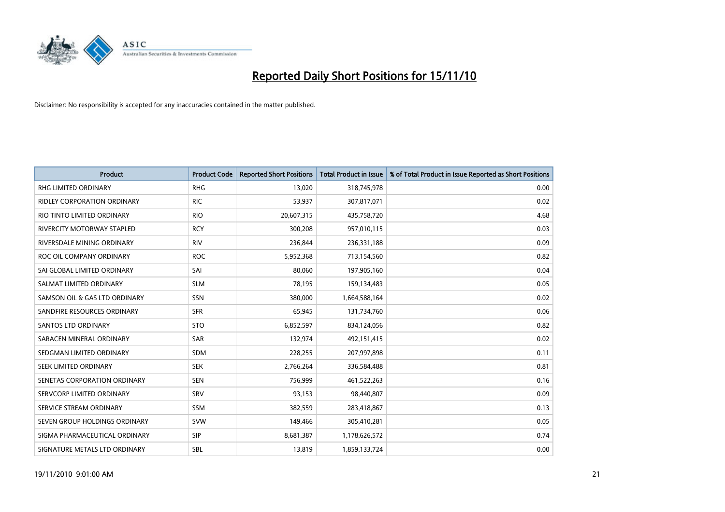

| <b>Product</b>                     | <b>Product Code</b> | <b>Reported Short Positions</b> | Total Product in Issue | % of Total Product in Issue Reported as Short Positions |
|------------------------------------|---------------------|---------------------------------|------------------------|---------------------------------------------------------|
| <b>RHG LIMITED ORDINARY</b>        | <b>RHG</b>          | 13,020                          | 318,745,978            | 0.00                                                    |
| <b>RIDLEY CORPORATION ORDINARY</b> | <b>RIC</b>          | 53,937                          | 307,817,071            | 0.02                                                    |
| RIO TINTO LIMITED ORDINARY         | <b>RIO</b>          | 20,607,315                      | 435,758,720            | 4.68                                                    |
| RIVERCITY MOTORWAY STAPLED         | <b>RCY</b>          | 300,208                         | 957,010,115            | 0.03                                                    |
| RIVERSDALE MINING ORDINARY         | <b>RIV</b>          | 236.844                         | 236,331,188            | 0.09                                                    |
| ROC OIL COMPANY ORDINARY           | <b>ROC</b>          | 5,952,368                       | 713,154,560            | 0.82                                                    |
| SAI GLOBAL LIMITED ORDINARY        | SAI                 | 80.060                          | 197,905,160            | 0.04                                                    |
| SALMAT LIMITED ORDINARY            | <b>SLM</b>          | 78,195                          | 159,134,483            | 0.05                                                    |
| SAMSON OIL & GAS LTD ORDINARY      | SSN                 | 380,000                         | 1,664,588,164          | 0.02                                                    |
| SANDFIRE RESOURCES ORDINARY        | <b>SFR</b>          | 65,945                          | 131,734,760            | 0.06                                                    |
| <b>SANTOS LTD ORDINARY</b>         | <b>STO</b>          | 6,852,597                       | 834,124,056            | 0.82                                                    |
| SARACEN MINERAL ORDINARY           | SAR                 | 132,974                         | 492,151,415            | 0.02                                                    |
| SEDGMAN LIMITED ORDINARY           | <b>SDM</b>          | 228,255                         | 207,997,898            | 0.11                                                    |
| SEEK LIMITED ORDINARY              | <b>SEK</b>          | 2,766,264                       | 336,584,488            | 0.81                                                    |
| SENETAS CORPORATION ORDINARY       | <b>SEN</b>          | 756,999                         | 461,522,263            | 0.16                                                    |
| SERVCORP LIMITED ORDINARY          | SRV                 | 93,153                          | 98,440,807             | 0.09                                                    |
| SERVICE STREAM ORDINARY            | <b>SSM</b>          | 382,559                         | 283,418,867            | 0.13                                                    |
| SEVEN GROUP HOLDINGS ORDINARY      | <b>SVW</b>          | 149,466                         | 305,410,281            | 0.05                                                    |
| SIGMA PHARMACEUTICAL ORDINARY      | <b>SIP</b>          | 8,681,387                       | 1,178,626,572          | 0.74                                                    |
| SIGNATURE METALS LTD ORDINARY      | <b>SBL</b>          | 13,819                          | 1,859,133,724          | 0.00                                                    |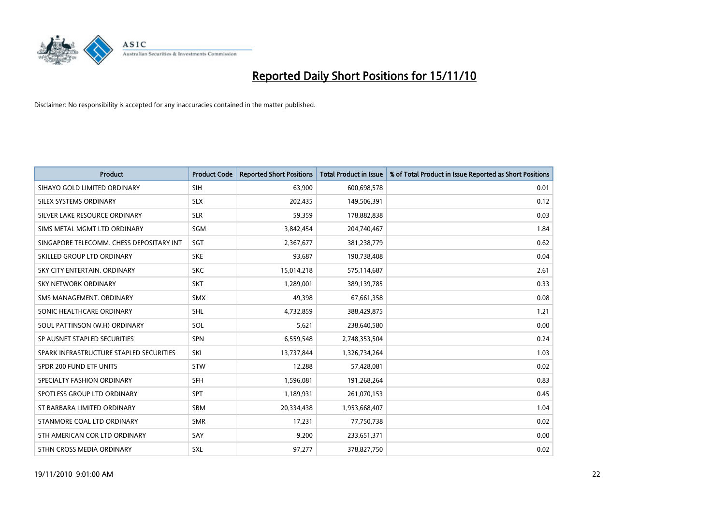

| <b>Product</b>                           | <b>Product Code</b> | <b>Reported Short Positions</b> | Total Product in Issue | % of Total Product in Issue Reported as Short Positions |
|------------------------------------------|---------------------|---------------------------------|------------------------|---------------------------------------------------------|
| SIHAYO GOLD LIMITED ORDINARY             | SIH                 | 63,900                          | 600,698,578            | 0.01                                                    |
| SILEX SYSTEMS ORDINARY                   | <b>SLX</b>          | 202,435                         | 149,506,391            | 0.12                                                    |
| SILVER LAKE RESOURCE ORDINARY            | <b>SLR</b>          | 59,359                          | 178,882,838            | 0.03                                                    |
| SIMS METAL MGMT LTD ORDINARY             | <b>SGM</b>          | 3,842,454                       | 204,740,467            | 1.84                                                    |
| SINGAPORE TELECOMM. CHESS DEPOSITARY INT | SGT                 | 2,367,677                       | 381,238,779            | 0.62                                                    |
| SKILLED GROUP LTD ORDINARY               | <b>SKE</b>          | 93,687                          | 190,738,408            | 0.04                                                    |
| SKY CITY ENTERTAIN, ORDINARY             | <b>SKC</b>          | 15,014,218                      | 575,114,687            | 2.61                                                    |
| <b>SKY NETWORK ORDINARY</b>              | <b>SKT</b>          | 1,289,001                       | 389,139,785            | 0.33                                                    |
| SMS MANAGEMENT. ORDINARY                 | <b>SMX</b>          | 49,398                          | 67,661,358             | 0.08                                                    |
| SONIC HEALTHCARE ORDINARY                | <b>SHL</b>          | 4,732,859                       | 388,429,875            | 1.21                                                    |
| SOUL PATTINSON (W.H) ORDINARY            | SOL                 | 5,621                           | 238,640,580            | 0.00                                                    |
| SP AUSNET STAPLED SECURITIES             | <b>SPN</b>          | 6,559,548                       | 2,748,353,504          | 0.24                                                    |
| SPARK INFRASTRUCTURE STAPLED SECURITIES  | SKI                 | 13,737,844                      | 1,326,734,264          | 1.03                                                    |
| SPDR 200 FUND ETF UNITS                  | <b>STW</b>          | 12,288                          | 57,428,081             | 0.02                                                    |
| SPECIALTY FASHION ORDINARY               | <b>SFH</b>          | 1,596,081                       | 191,268,264            | 0.83                                                    |
| SPOTLESS GROUP LTD ORDINARY              | <b>SPT</b>          | 1,189,931                       | 261,070,153            | 0.45                                                    |
| ST BARBARA LIMITED ORDINARY              | <b>SBM</b>          | 20,334,438                      | 1,953,668,407          | 1.04                                                    |
| STANMORE COAL LTD ORDINARY               | <b>SMR</b>          | 17,231                          | 77,750,738             | 0.02                                                    |
| STH AMERICAN COR LTD ORDINARY            | SAY                 | 9,200                           | 233,651,371            | 0.00                                                    |
| STHN CROSS MEDIA ORDINARY                | <b>SXL</b>          | 97,277                          | 378,827,750            | 0.02                                                    |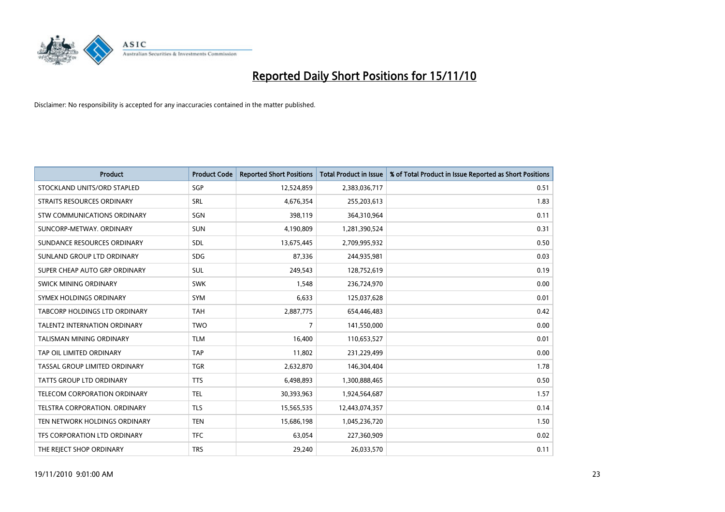

| <b>Product</b>                      | <b>Product Code</b> | <b>Reported Short Positions</b> | Total Product in Issue | % of Total Product in Issue Reported as Short Positions |
|-------------------------------------|---------------------|---------------------------------|------------------------|---------------------------------------------------------|
| STOCKLAND UNITS/ORD STAPLED         | SGP                 | 12,524,859                      | 2,383,036,717          | 0.51                                                    |
| STRAITS RESOURCES ORDINARY          | <b>SRL</b>          | 4,676,354                       | 255,203,613            | 1.83                                                    |
| STW COMMUNICATIONS ORDINARY         | SGN                 | 398,119                         | 364,310,964            | 0.11                                                    |
| SUNCORP-METWAY, ORDINARY            | <b>SUN</b>          | 4,190,809                       | 1,281,390,524          | 0.31                                                    |
| SUNDANCE RESOURCES ORDINARY         | <b>SDL</b>          | 13,675,445                      | 2,709,995,932          | 0.50                                                    |
| SUNLAND GROUP LTD ORDINARY          | <b>SDG</b>          | 87,336                          | 244,935,981            | 0.03                                                    |
| SUPER CHEAP AUTO GRP ORDINARY       | SUL                 | 249,543                         | 128,752,619            | 0.19                                                    |
| SWICK MINING ORDINARY               | <b>SWK</b>          | 1,548                           | 236,724,970            | 0.00                                                    |
| SYMEX HOLDINGS ORDINARY             | <b>SYM</b>          | 6,633                           | 125,037,628            | 0.01                                                    |
| TABCORP HOLDINGS LTD ORDINARY       | <b>TAH</b>          | 2,887,775                       | 654,446,483            | 0.42                                                    |
| <b>TALENT2 INTERNATION ORDINARY</b> | <b>TWO</b>          | $\overline{7}$                  | 141,550,000            | 0.00                                                    |
| <b>TALISMAN MINING ORDINARY</b>     | <b>TLM</b>          | 16,400                          | 110,653,527            | 0.01                                                    |
| TAP OIL LIMITED ORDINARY            | <b>TAP</b>          | 11,802                          | 231,229,499            | 0.00                                                    |
| TASSAL GROUP LIMITED ORDINARY       | <b>TGR</b>          | 2,632,870                       | 146,304,404            | 1.78                                                    |
| TATTS GROUP LTD ORDINARY            | <b>TTS</b>          | 6,498,893                       | 1,300,888,465          | 0.50                                                    |
| TELECOM CORPORATION ORDINARY        | <b>TEL</b>          | 30,393,963                      | 1,924,564,687          | 1.57                                                    |
| TELSTRA CORPORATION, ORDINARY       | <b>TLS</b>          | 15,565,535                      | 12,443,074,357         | 0.14                                                    |
| TEN NETWORK HOLDINGS ORDINARY       | <b>TEN</b>          | 15,686,198                      | 1,045,236,720          | 1.50                                                    |
| TFS CORPORATION LTD ORDINARY        | <b>TFC</b>          | 63,054                          | 227,360,909            | 0.02                                                    |
| THE REJECT SHOP ORDINARY            | <b>TRS</b>          | 29,240                          | 26,033,570             | 0.11                                                    |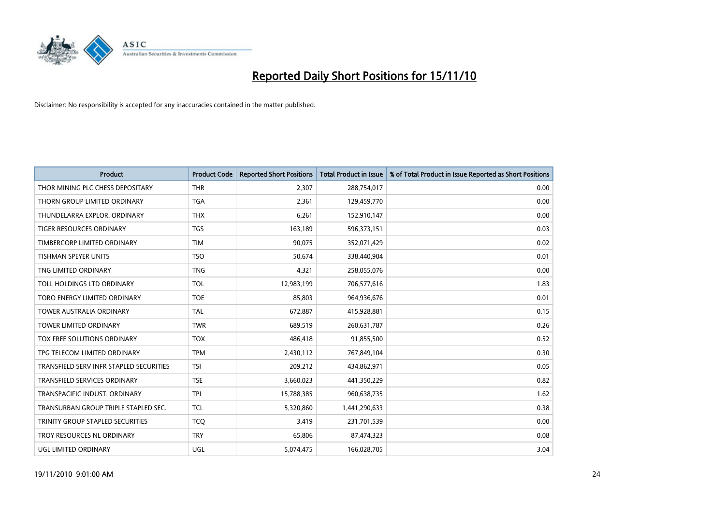

| <b>Product</b>                          | <b>Product Code</b> | <b>Reported Short Positions</b> | Total Product in Issue | % of Total Product in Issue Reported as Short Positions |
|-----------------------------------------|---------------------|---------------------------------|------------------------|---------------------------------------------------------|
| THOR MINING PLC CHESS DEPOSITARY        | <b>THR</b>          | 2,307                           | 288,754,017            | 0.00                                                    |
| THORN GROUP LIMITED ORDINARY            | <b>TGA</b>          | 2,361                           | 129,459,770            | 0.00                                                    |
| THUNDELARRA EXPLOR, ORDINARY            | <b>THX</b>          | 6,261                           | 152,910,147            | 0.00                                                    |
| TIGER RESOURCES ORDINARY                | <b>TGS</b>          | 163,189                         | 596,373,151            | 0.03                                                    |
| TIMBERCORP LIMITED ORDINARY             | <b>TIM</b>          | 90,075                          | 352,071,429            | 0.02                                                    |
| <b>TISHMAN SPEYER UNITS</b>             | <b>TSO</b>          | 50.674                          | 338,440,904            | 0.01                                                    |
| TNG LIMITED ORDINARY                    | <b>TNG</b>          | 4,321                           | 258,055,076            | 0.00                                                    |
| TOLL HOLDINGS LTD ORDINARY              | <b>TOL</b>          | 12,983,199                      | 706,577,616            | 1.83                                                    |
| TORO ENERGY LIMITED ORDINARY            | <b>TOE</b>          | 85,803                          | 964,936,676            | 0.01                                                    |
| <b>TOWER AUSTRALIA ORDINARY</b>         | <b>TAL</b>          | 672,887                         | 415,928,881            | 0.15                                                    |
| TOWER LIMITED ORDINARY                  | <b>TWR</b>          | 689,519                         | 260,631,787            | 0.26                                                    |
| <b>TOX FREE SOLUTIONS ORDINARY</b>      | <b>TOX</b>          | 486,418                         | 91,855,500             | 0.52                                                    |
| TPG TELECOM LIMITED ORDINARY            | <b>TPM</b>          | 2,430,112                       | 767,849,104            | 0.30                                                    |
| TRANSFIELD SERV INFR STAPLED SECURITIES | <b>TSI</b>          | 209,212                         | 434,862,971            | 0.05                                                    |
| <b>TRANSFIELD SERVICES ORDINARY</b>     | <b>TSE</b>          | 3,660,023                       | 441,350,229            | 0.82                                                    |
| TRANSPACIFIC INDUST. ORDINARY           | <b>TPI</b>          | 15,788,385                      | 960,638,735            | 1.62                                                    |
| TRANSURBAN GROUP TRIPLE STAPLED SEC.    | <b>TCL</b>          | 5,320,860                       | 1,441,290,633          | 0.38                                                    |
| TRINITY GROUP STAPLED SECURITIES        | <b>TCQ</b>          | 3,419                           | 231,701,539            | 0.00                                                    |
| TROY RESOURCES NL ORDINARY              | <b>TRY</b>          | 65,806                          | 87,474,323             | 0.08                                                    |
| UGL LIMITED ORDINARY                    | <b>UGL</b>          | 5,074,475                       | 166,028,705            | 3.04                                                    |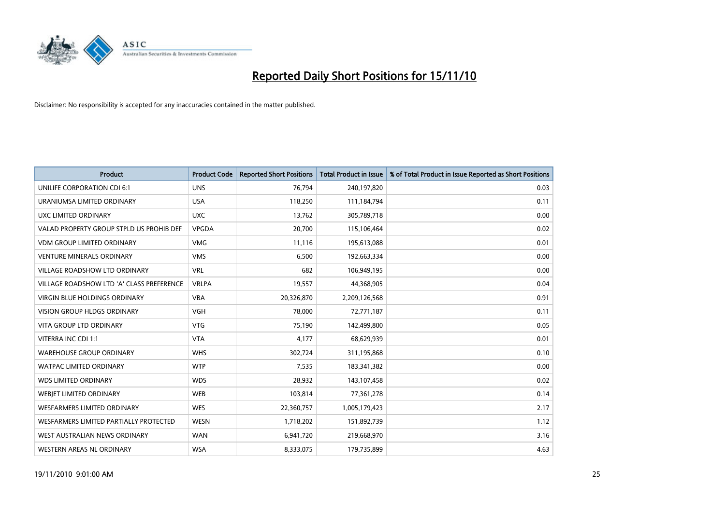

| Product                                   | <b>Product Code</b> | <b>Reported Short Positions</b> | <b>Total Product in Issue</b> | % of Total Product in Issue Reported as Short Positions |
|-------------------------------------------|---------------------|---------------------------------|-------------------------------|---------------------------------------------------------|
| <b>UNILIFE CORPORATION CDI 6:1</b>        | <b>UNS</b>          | 76,794                          | 240,197,820                   | 0.03                                                    |
| URANIUMSA LIMITED ORDINARY                | <b>USA</b>          | 118,250                         | 111,184,794                   | 0.11                                                    |
| UXC LIMITED ORDINARY                      | <b>UXC</b>          | 13,762                          | 305,789,718                   | 0.00                                                    |
| VALAD PROPERTY GROUP STPLD US PROHIB DEF  | <b>VPGDA</b>        | 20,700                          | 115,106,464                   | 0.02                                                    |
| <b>VDM GROUP LIMITED ORDINARY</b>         | <b>VMG</b>          | 11,116                          | 195,613,088                   | 0.01                                                    |
| <b>VENTURE MINERALS ORDINARY</b>          | <b>VMS</b>          | 6,500                           | 192,663,334                   | 0.00                                                    |
| VILLAGE ROADSHOW LTD ORDINARY             | <b>VRL</b>          | 682                             | 106,949,195                   | 0.00                                                    |
| VILLAGE ROADSHOW LTD 'A' CLASS PREFERENCE | <b>VRLPA</b>        | 19,557                          | 44,368,905                    | 0.04                                                    |
| <b>VIRGIN BLUE HOLDINGS ORDINARY</b>      | <b>VBA</b>          | 20,326,870                      | 2,209,126,568                 | 0.91                                                    |
| <b>VISION GROUP HLDGS ORDINARY</b>        | <b>VGH</b>          | 78,000                          | 72,771,187                    | 0.11                                                    |
| VITA GROUP LTD ORDINARY                   | <b>VTG</b>          | 75,190                          | 142,499,800                   | 0.05                                                    |
| VITERRA INC CDI 1:1                       | <b>VTA</b>          | 4,177                           | 68,629,939                    | 0.01                                                    |
| <b>WAREHOUSE GROUP ORDINARY</b>           | <b>WHS</b>          | 302,724                         | 311,195,868                   | 0.10                                                    |
| <b>WATPAC LIMITED ORDINARY</b>            | <b>WTP</b>          | 7,535                           | 183,341,382                   | 0.00                                                    |
| <b>WDS LIMITED ORDINARY</b>               | <b>WDS</b>          | 28,932                          | 143,107,458                   | 0.02                                                    |
| <b>WEBIET LIMITED ORDINARY</b>            | <b>WEB</b>          | 103,814                         | 77,361,278                    | 0.14                                                    |
| WESFARMERS LIMITED ORDINARY               | <b>WES</b>          | 22,360,757                      | 1,005,179,423                 | 2.17                                                    |
| WESFARMERS LIMITED PARTIALLY PROTECTED    | <b>WESN</b>         | 1,718,202                       | 151,892,739                   | 1.12                                                    |
| WEST AUSTRALIAN NEWS ORDINARY             | <b>WAN</b>          | 6,941,720                       | 219,668,970                   | 3.16                                                    |
| <b>WESTERN AREAS NL ORDINARY</b>          | <b>WSA</b>          | 8,333,075                       | 179,735,899                   | 4.63                                                    |